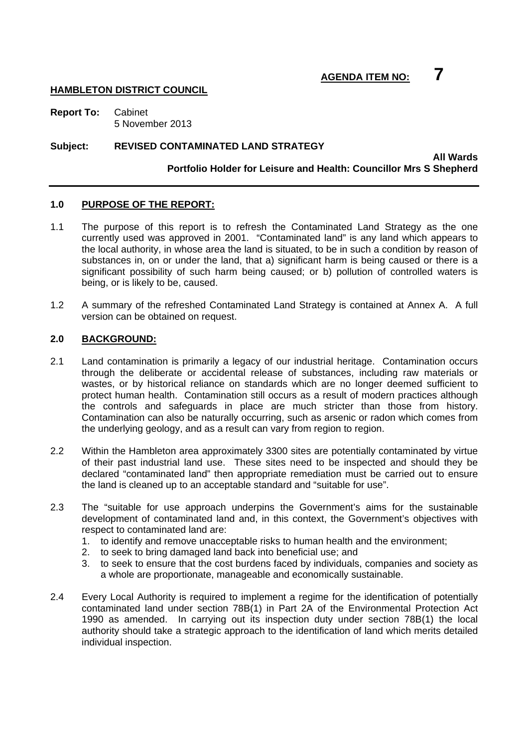## **AGENDA ITEM NO: 7**

#### **HAMBLETON DISTRICT COUNCIL**

**Report To:** Cabinet 5 November 2013

#### **Subject: REVISED CONTAMINATED LAND STRATEGY**

#### **All Wards Portfolio Holder for Leisure and Health: Councillor Mrs S Shepherd**

#### **1.0 PURPOSE OF THE REPORT:**

- 1.1 The purpose of this report is to refresh the Contaminated Land Strategy as the one currently used was approved in 2001. "Contaminated land" is any land which appears to the local authority, in whose area the land is situated, to be in such a condition by reason of substances in, on or under the land, that a) significant harm is being caused or there is a significant possibility of such harm being caused; or b) pollution of controlled waters is being, or is likely to be, caused.
- 1.2 A summary of the refreshed Contaminated Land Strategy is contained at Annex A. A full version can be obtained on request.

#### **2.0 BACKGROUND:**

- 2.1 Land contamination is primarily a legacy of our industrial heritage. Contamination occurs through the deliberate or accidental release of substances, including raw materials or wastes, or by historical reliance on standards which are no longer deemed sufficient to protect human health. Contamination still occurs as a result of modern practices although the controls and safeguards in place are much stricter than those from history. Contamination can also be naturally occurring, such as arsenic or radon which comes from the underlying geology, and as a result can vary from region to region.
- 2.2 Within the Hambleton area approximately 3300 sites are potentially contaminated by virtue of their past industrial land use. These sites need to be inspected and should they be declared "contaminated land" then appropriate remediation must be carried out to ensure the land is cleaned up to an acceptable standard and "suitable for use".
- 2.3 The "suitable for use approach underpins the Government's aims for the sustainable development of contaminated land and, in this context, the Government's objectives with respect to contaminated land are:
	- 1. to identify and remove unacceptable risks to human health and the environment;
	- 2. to seek to bring damaged land back into beneficial use; and
	- 3. to seek to ensure that the cost burdens faced by individuals, companies and society as a whole are proportionate, manageable and economically sustainable.
- 2.4 Every Local Authority is required to implement a regime for the identification of potentially contaminated land under section 78B(1) in Part 2A of the Environmental Protection Act 1990 as amended. In carrying out its inspection duty under section 78B(1) the local authority should take a strategic approach to the identification of land which merits detailed individual inspection.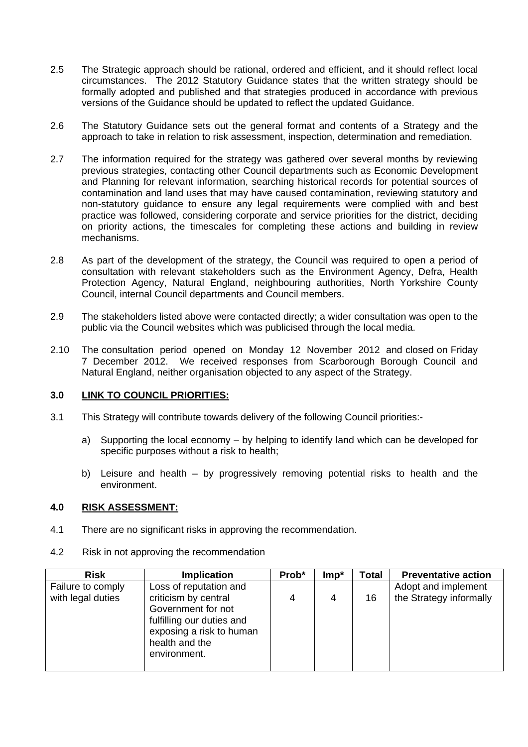- 2.5 The Strategic approach should be rational, ordered and efficient, and it should reflect local circumstances. The 2012 Statutory Guidance states that the written strategy should be formally adopted and published and that strategies produced in accordance with previous versions of the Guidance should be updated to reflect the updated Guidance.
- 2.6 The Statutory Guidance sets out the general format and contents of a Strategy and the approach to take in relation to risk assessment, inspection, determination and remediation.
- 2.7 The information required for the strategy was gathered over several months by reviewing previous strategies, contacting other Council departments such as Economic Development and Planning for relevant information, searching historical records for potential sources of contamination and land uses that may have caused contamination, reviewing statutory and non-statutory guidance to ensure any legal requirements were complied with and best practice was followed, considering corporate and service priorities for the district, deciding on priority actions, the timescales for completing these actions and building in review mechanisms.
- 2.8 As part of the development of the strategy, the Council was required to open a period of consultation with relevant stakeholders such as the Environment Agency, Defra, Health Protection Agency, Natural England, neighbouring authorities, North Yorkshire County Council, internal Council departments and Council members.
- 2.9 The stakeholders listed above were contacted directly; a wider consultation was open to the public via the Council websites which was publicised through the local media.
- 2.10 The consultation period opened on Monday 12 November 2012 and closed on Friday 7 December 2012. We received responses from Scarborough Borough Council and Natural England, neither organisation objected to any aspect of the Strategy.

#### **3.0 LINK TO COUNCIL PRIORITIES:**

- 3.1 This Strategy will contribute towards delivery of the following Council priorities:
	- a) Supporting the local economy by helping to identify land which can be developed for specific purposes without a risk to health;
	- b) Leisure and health by progressively removing potential risks to health and the environment.

#### **4.0 RISK ASSESSMENT:**

4.1 There are no significant risks in approving the recommendation.

| <b>Risk</b>       | <b>Implication</b>        | Prob* | $Imp*$ | Total | <b>Preventative action</b> |
|-------------------|---------------------------|-------|--------|-------|----------------------------|
| Failure to comply | Loss of reputation and    |       |        |       | Adopt and implement        |
| with legal duties | criticism by central      | 4     | 4      | 16    | the Strategy informally    |
|                   | Government for not        |       |        |       |                            |
|                   | fulfilling our duties and |       |        |       |                            |
|                   | exposing a risk to human  |       |        |       |                            |
|                   | health and the            |       |        |       |                            |
|                   | environment.              |       |        |       |                            |
|                   |                           |       |        |       |                            |

4.2 Risk in not approving the recommendation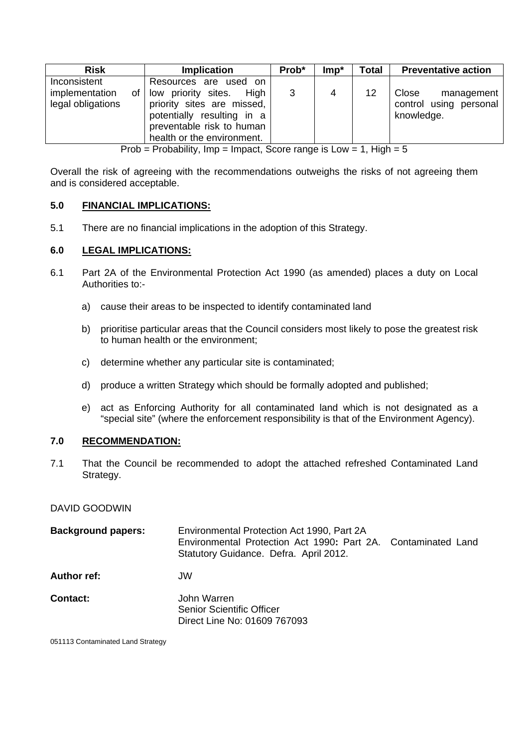| <b>Risk</b>                                               | <b>Implication</b>                                                                                                                                                          | Prob* | $Imp*$ | Total | <b>Preventative action</b>                                  |
|-----------------------------------------------------------|-----------------------------------------------------------------------------------------------------------------------------------------------------------------------------|-------|--------|-------|-------------------------------------------------------------|
| Inconsistent<br>implementation<br>οf<br>legal obligations | Resources are used on<br>low priority sites.<br>High<br>priority sites are missed,<br>potentially resulting in a<br>preventable risk to human<br>health or the environment. | 3     |        | 12    | Close<br>management<br>control using personal<br>knowledge. |

Prob = Probability, Imp = Impact, Score range is Low = 1, High =  $5$ 

Overall the risk of agreeing with the recommendations outweighs the risks of not agreeing them and is considered acceptable.

#### **5.0 FINANCIAL IMPLICATIONS:**

5.1 There are no financial implications in the adoption of this Strategy.

#### **6.0 LEGAL IMPLICATIONS:**

- 6.1 Part 2A of the Environmental Protection Act 1990 (as amended) places a duty on Local Authorities to:
	- a) cause their areas to be inspected to identify contaminated land
	- b) prioritise particular areas that the Council considers most likely to pose the greatest risk to human health or the environment;
	- c) determine whether any particular site is contaminated;
	- d) produce a written Strategy which should be formally adopted and published;
	- e) act as Enforcing Authority for all contaminated land which is not designated as a "special site" (where the enforcement responsibility is that of the Environment Agency).

#### **7.0 RECOMMENDATION:**

7.1 That the Council be recommended to adopt the attached refreshed Contaminated Land Strategy.

#### DAVID GOODWIN

| <b>Background papers:</b> | Environmental Protection Act 1990, Part 2A<br>Environmental Protection Act 1990: Part 2A. Contaminated Land<br>Statutory Guidance. Defra. April 2012. |  |
|---------------------------|-------------------------------------------------------------------------------------------------------------------------------------------------------|--|
| Author ref:               | JW                                                                                                                                                    |  |
| Contact:                  | John Warren<br><b>Senior Scientific Officer</b><br>Direct Line No: 01609 767093                                                                       |  |

051113 Contaminated Land Strategy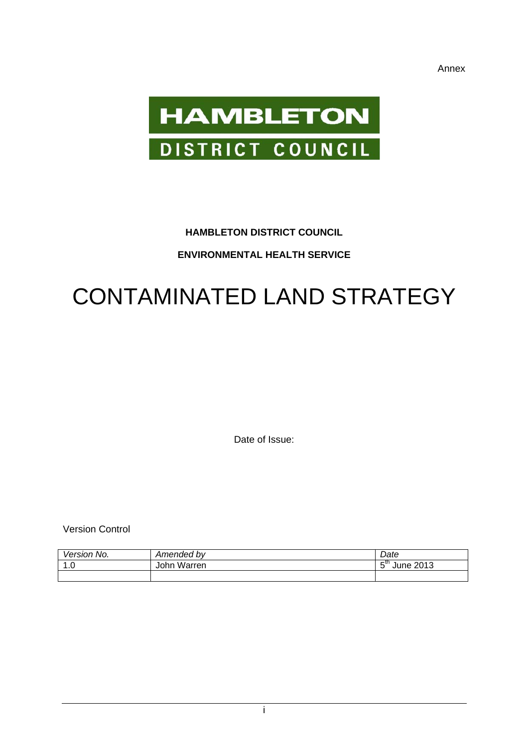Annex



## **HAMBLETON DISTRICT COUNCIL**

### **ENVIRONMENTAL HEALTH SERVICE**

# CONTAMINATED LAND STRATEGY

Date of Issue:

Version Control

| <i>Version</i><br>No.            | Amended by  | Date                           |
|----------------------------------|-------------|--------------------------------|
| $\overline{\phantom{a}}$<br>ט. ו | John Warren | r tn<br>2013<br>June<br>-<br>w |
|                                  |             |                                |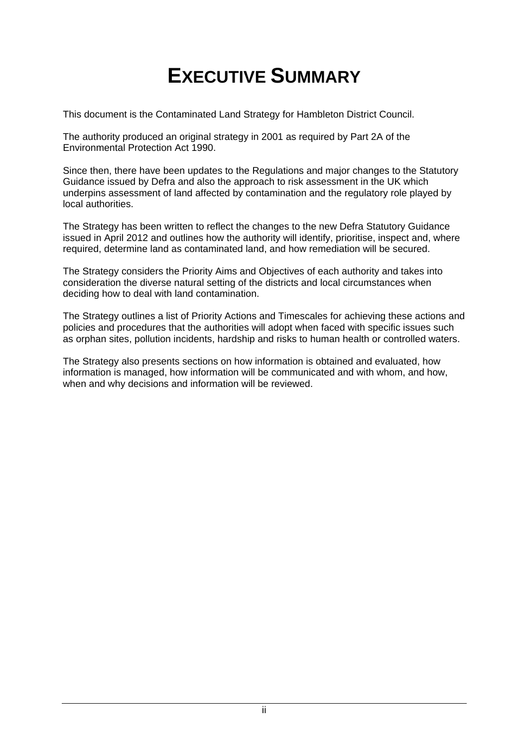# **EXECUTIVE SUMMARY**

This document is the Contaminated Land Strategy for Hambleton District Council.

The authority produced an original strategy in 2001 as required by Part 2A of the Environmental Protection Act 1990.

Since then, there have been updates to the Regulations and major changes to the Statutory Guidance issued by Defra and also the approach to risk assessment in the UK which underpins assessment of land affected by contamination and the regulatory role played by local authorities.

The Strategy has been written to reflect the changes to the new Defra Statutory Guidance issued in April 2012 and outlines how the authority will identify, prioritise, inspect and, where required, determine land as contaminated land, and how remediation will be secured.

The Strategy considers the Priority Aims and Objectives of each authority and takes into consideration the diverse natural setting of the districts and local circumstances when deciding how to deal with land contamination.

The Strategy outlines a list of Priority Actions and Timescales for achieving these actions and policies and procedures that the authorities will adopt when faced with specific issues such as orphan sites, pollution incidents, hardship and risks to human health or controlled waters.

The Strategy also presents sections on how information is obtained and evaluated, how information is managed, how information will be communicated and with whom, and how, when and why decisions and information will be reviewed.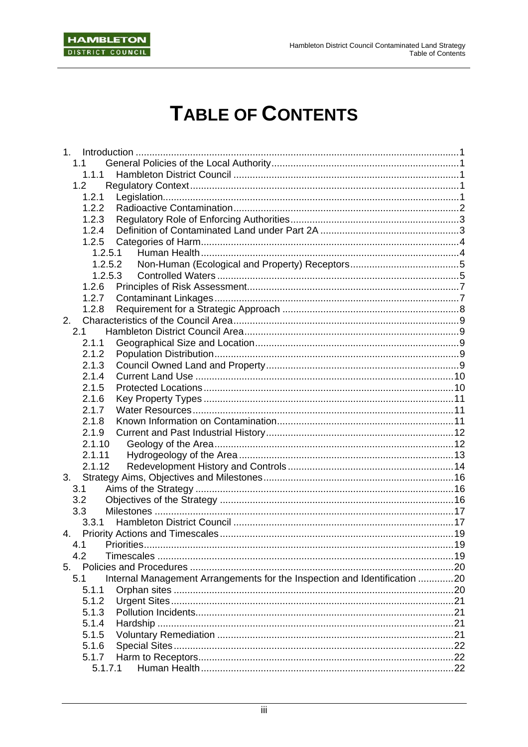

# **TABLE OF CONTENTS**

| 1.1            |                                                                           |     |
|----------------|---------------------------------------------------------------------------|-----|
| 1.1.1          |                                                                           |     |
| 1.2            |                                                                           |     |
| 1.2.1          |                                                                           |     |
| 1.2.2          |                                                                           |     |
| 1.2.3          |                                                                           |     |
| 1.2.4          |                                                                           |     |
| 1.2.5          |                                                                           |     |
| 1.2.5.1        |                                                                           |     |
| 1.2.5.2        |                                                                           |     |
| 1.2.5.3        |                                                                           |     |
| 1.2.6          |                                                                           |     |
|                |                                                                           |     |
| 1.2.7          |                                                                           |     |
| 1.2.8          |                                                                           |     |
| 2.             |                                                                           |     |
| 2.1            |                                                                           |     |
| 2.1.1          |                                                                           |     |
| 2.1.2          |                                                                           |     |
| 2.1.3          |                                                                           |     |
| 2.1.4          |                                                                           |     |
| 2.1.5          |                                                                           |     |
| 2.1.6          |                                                                           |     |
| 2.1.7          |                                                                           |     |
| 2.1.8          |                                                                           |     |
| 2.1.9          |                                                                           |     |
| 2.1.10         |                                                                           |     |
| 2.1.11         |                                                                           |     |
| 2.1.12         |                                                                           |     |
| 3.             |                                                                           |     |
| 3.1            |                                                                           |     |
| 3.2            |                                                                           |     |
| 3.3            |                                                                           |     |
| 3.3.1          |                                                                           |     |
|                |                                                                           |     |
| 4.1 Priorities |                                                                           | .19 |
| 4.2            |                                                                           |     |
|                |                                                                           |     |
|                |                                                                           |     |
| 5.1            | Internal Management Arrangements for the Inspection and Identification 20 |     |
| 5.1.1          |                                                                           |     |
| 5.1.2          |                                                                           |     |
| 5.1.3          |                                                                           |     |
| 5.1.4          |                                                                           |     |
| 5.1.5          |                                                                           |     |
| 5.1.6          |                                                                           |     |
| 5.1.7          |                                                                           |     |
| 5.1.7.1        |                                                                           |     |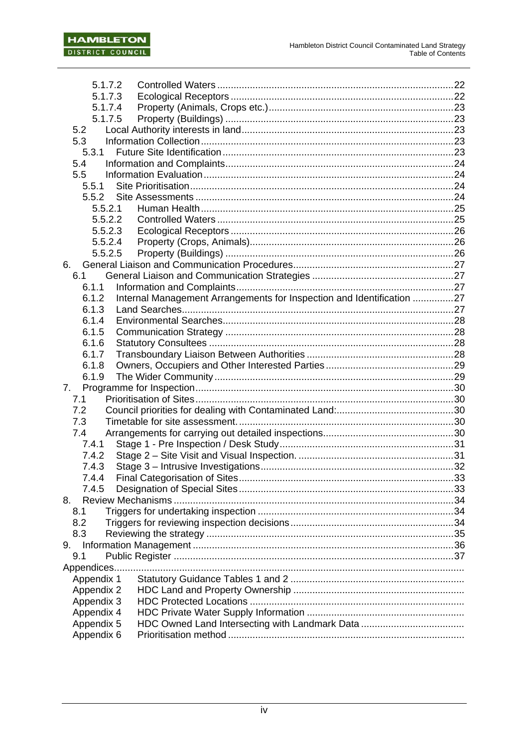| 5.1.7.2     |                                                                       |  |
|-------------|-----------------------------------------------------------------------|--|
| 5.1.7.3     |                                                                       |  |
| 5.1.7.4     |                                                                       |  |
| 5.1.7.5     |                                                                       |  |
| 5.2         |                                                                       |  |
| 5.3         |                                                                       |  |
| 5.3.1       |                                                                       |  |
| 5.4         |                                                                       |  |
| 5.5         |                                                                       |  |
| 5.5.1       |                                                                       |  |
| 5.5.2       |                                                                       |  |
| 5.5.2.1     |                                                                       |  |
| 5.5.2.2     |                                                                       |  |
| 5.5.2.3     |                                                                       |  |
| 5.5.2.4     |                                                                       |  |
| 5.5.2.5     |                                                                       |  |
| 6.          |                                                                       |  |
| 6.1         |                                                                       |  |
| 6.1.1       |                                                                       |  |
| 6.1.2       | Internal Management Arrangements for Inspection and Identification 27 |  |
| 6.1.3       |                                                                       |  |
| 6.1.4       |                                                                       |  |
| 6.1.5       |                                                                       |  |
| 6.1.6       |                                                                       |  |
| 6.1.7       |                                                                       |  |
| 6.1.8       |                                                                       |  |
| 6.1.9       |                                                                       |  |
| 7.          |                                                                       |  |
| 7.1         |                                                                       |  |
| 7.2         |                                                                       |  |
| 7.3         |                                                                       |  |
| 7.4         |                                                                       |  |
| 7.4.1       |                                                                       |  |
| 7.4.2       |                                                                       |  |
| 7.4.3       |                                                                       |  |
| 7.4.4       |                                                                       |  |
| 7.4.5       |                                                                       |  |
| 8.          |                                                                       |  |
| 8.1         |                                                                       |  |
| 8.2         |                                                                       |  |
| 8.3         |                                                                       |  |
| 9.          |                                                                       |  |
| 9.1         |                                                                       |  |
| Appendices. |                                                                       |  |
| Appendix 1  |                                                                       |  |
| Appendix 2  |                                                                       |  |
| Appendix 3  |                                                                       |  |
| Appendix 4  |                                                                       |  |
| Appendix 5  |                                                                       |  |
| Appendix 6  |                                                                       |  |
|             |                                                                       |  |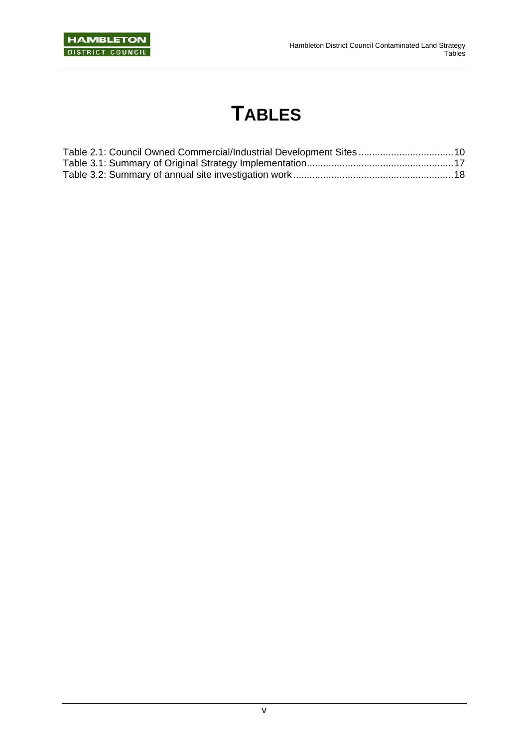# **TABLES**

| Table 2.1: Council Owned Commercial/Industrial Development Sites  10 |  |
|----------------------------------------------------------------------|--|
|                                                                      |  |
|                                                                      |  |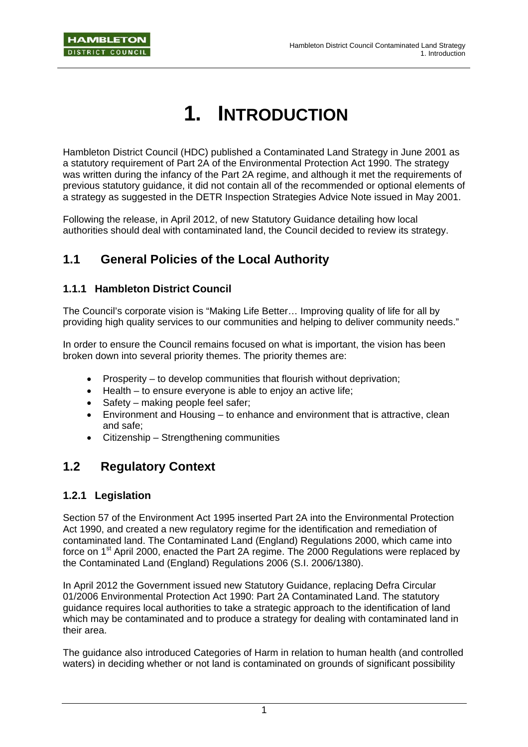# **1. INTRODUCTION**

Hambleton District Council (HDC) published a Contaminated Land Strategy in June 2001 as a statutory requirement of Part 2A of the Environmental Protection Act 1990. The strategy was written during the infancy of the Part 2A regime, and although it met the requirements of previous statutory guidance, it did not contain all of the recommended or optional elements of a strategy as suggested in the DETR Inspection Strategies Advice Note issued in May 2001.

Following the release, in April 2012, of new Statutory Guidance detailing how local authorities should deal with contaminated land, the Council decided to review its strategy.

# **1.1 General Policies of the Local Authority**

### **1.1.1 Hambleton District Council**

The Council's corporate vision is "Making Life Better… Improving quality of life for all by providing high quality services to our communities and helping to deliver community needs."

In order to ensure the Council remains focused on what is important, the vision has been broken down into several priority themes. The priority themes are:

- Prosperity to develop communities that flourish without deprivation;
- Health to ensure everyone is able to enjoy an active life;
- Safety making people feel safer;
- Environment and Housing to enhance and environment that is attractive, clean and safe;
- Citizenship Strengthening communities

## **1.2 Regulatory Context**

### **1.2.1 Legislation**

Section 57 of the Environment Act 1995 inserted Part 2A into the Environmental Protection Act 1990, and created a new regulatory regime for the identification and remediation of contaminated land. The Contaminated Land (England) Regulations 2000, which came into force on 1<sup>st</sup> April 2000, enacted the Part 2A regime. The 2000 Regulations were replaced by the Contaminated Land (England) Regulations 2006 (S.I. 2006/1380).

In April 2012 the Government issued new Statutory Guidance, replacing Defra Circular 01/2006 Environmental Protection Act 1990: Part 2A Contaminated Land. The statutory guidance requires local authorities to take a strategic approach to the identification of land which may be contaminated and to produce a strategy for dealing with contaminated land in their area.

The guidance also introduced Categories of Harm in relation to human health (and controlled waters) in deciding whether or not land is contaminated on grounds of significant possibility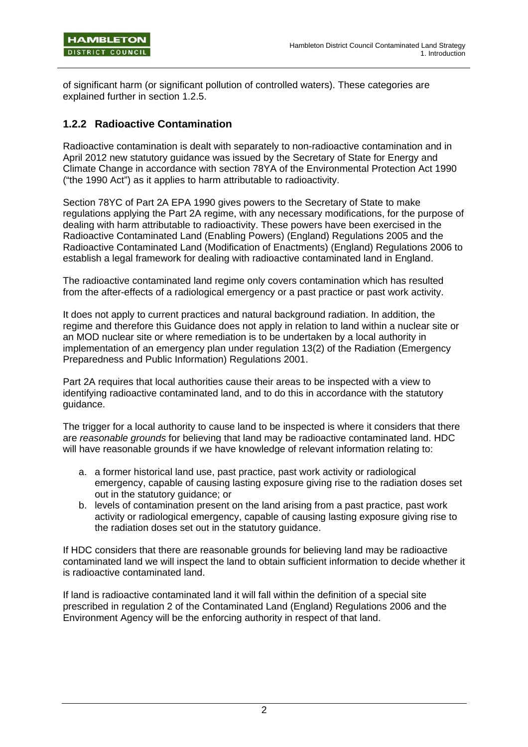of significant harm (or significant pollution of controlled waters). These categories are explained further in section 1.2.5.

### **1.2.2 Radioactive Contamination**

Radioactive contamination is dealt with separately to non-radioactive contamination and in April 2012 new statutory guidance was issued by the Secretary of State for Energy and Climate Change in accordance with section 78YA of the Environmental Protection Act 1990 ("the 1990 Act") as it applies to harm attributable to radioactivity.

Section 78YC of Part 2A EPA 1990 gives powers to the Secretary of State to make regulations applying the Part 2A regime, with any necessary modifications, for the purpose of dealing with harm attributable to radioactivity. These powers have been exercised in the Radioactive Contaminated Land (Enabling Powers) (England) Regulations 2005 and the Radioactive Contaminated Land (Modification of Enactments) (England) Regulations 2006 to establish a legal framework for dealing with radioactive contaminated land in England.

The radioactive contaminated land regime only covers contamination which has resulted from the after-effects of a radiological emergency or a past practice or past work activity.

It does not apply to current practices and natural background radiation. In addition, the regime and therefore this Guidance does not apply in relation to land within a nuclear site or an MOD nuclear site or where remediation is to be undertaken by a local authority in implementation of an emergency plan under regulation 13(2) of the Radiation (Emergency Preparedness and Public Information) Regulations 2001.

Part 2A requires that local authorities cause their areas to be inspected with a view to identifying radioactive contaminated land, and to do this in accordance with the statutory guidance.

The trigger for a local authority to cause land to be inspected is where it considers that there are *reasonable grounds* for believing that land may be radioactive contaminated land. HDC will have reasonable grounds if we have knowledge of relevant information relating to:

- a. a former historical land use, past practice, past work activity or radiological emergency, capable of causing lasting exposure giving rise to the radiation doses set out in the statutory guidance; or
- b. levels of contamination present on the land arising from a past practice, past work activity or radiological emergency, capable of causing lasting exposure giving rise to the radiation doses set out in the statutory guidance.

If HDC considers that there are reasonable grounds for believing land may be radioactive contaminated land we will inspect the land to obtain sufficient information to decide whether it is radioactive contaminated land.

If land is radioactive contaminated land it will fall within the definition of a special site prescribed in regulation 2 of the Contaminated Land (England) Regulations 2006 and the Environment Agency will be the enforcing authority in respect of that land.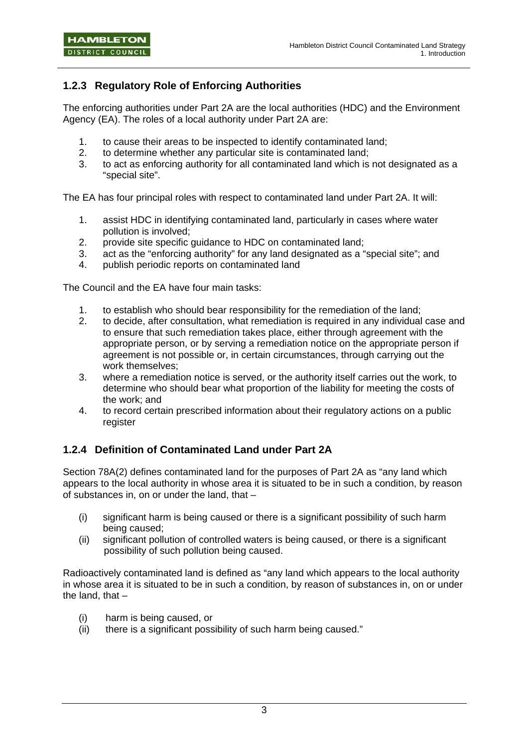## **1.2.3 Regulatory Role of Enforcing Authorities**

The enforcing authorities under Part 2A are the local authorities (HDC) and the Environment Agency (EA). The roles of a local authority under Part 2A are:

- 1. to cause their areas to be inspected to identify contaminated land;
- 2. to determine whether any particular site is contaminated land;
- 3. to act as enforcing authority for all contaminated land which is not designated as a "special site".

The EA has four principal roles with respect to contaminated land under Part 2A. It will:

- 1. assist HDC in identifying contaminated land, particularly in cases where water pollution is involved;
- 2. provide site specific guidance to HDC on contaminated land;
- 3. act as the "enforcing authority" for any land designated as a "special site"; and
- 4. publish periodic reports on contaminated land

The Council and the EA have four main tasks:

- 1. to establish who should bear responsibility for the remediation of the land;
- 2. to decide, after consultation, what remediation is required in any individual case and to ensure that such remediation takes place, either through agreement with the appropriate person, or by serving a remediation notice on the appropriate person if agreement is not possible or, in certain circumstances, through carrying out the work themselves;
- 3. where a remediation notice is served, or the authority itself carries out the work, to determine who should bear what proportion of the liability for meeting the costs of the work; and
- 4. to record certain prescribed information about their regulatory actions on a public register

### **1.2.4 Definition of Contaminated Land under Part 2A**

Section 78A(2) defines contaminated land for the purposes of Part 2A as "any land which appears to the local authority in whose area it is situated to be in such a condition, by reason of substances in, on or under the land, that –

- (i) significant harm is being caused or there is a significant possibility of such harm being caused;
- (ii) significant pollution of controlled waters is being caused, or there is a significant possibility of such pollution being caused.

Radioactively contaminated land is defined as "any land which appears to the local authority in whose area it is situated to be in such a condition, by reason of substances in, on or under the land, that –

- (i) harm is being caused, or
- (ii) there is a significant possibility of such harm being caused."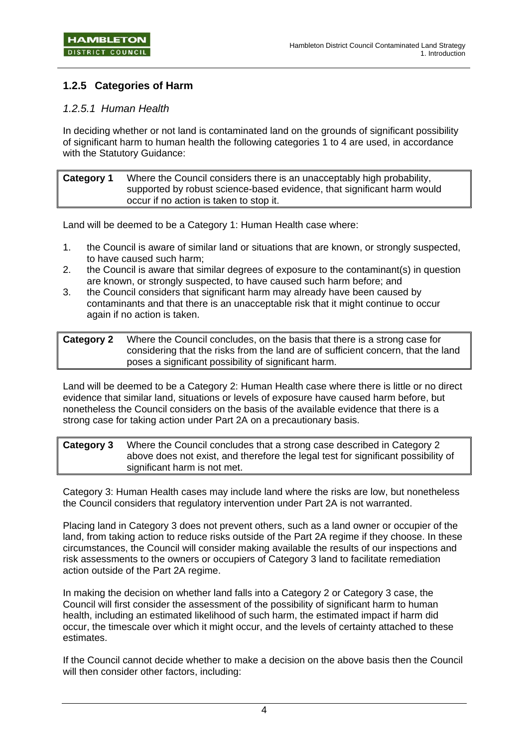### **1.2.5 Categories of Harm**

### *1.2.5.1 Human Health*

In deciding whether or not land is contaminated land on the grounds of significant possibility of significant harm to human health the following categories 1 to 4 are used, in accordance with the Statutory Guidance:

| Category 1 | Where the Council considers there is an unacceptably high probability,  |
|------------|-------------------------------------------------------------------------|
|            | supported by robust science-based evidence, that significant harm would |
|            | occur if no action is taken to stop it.                                 |

Land will be deemed to be a Category 1: Human Health case where:

- 1. the Council is aware of similar land or situations that are known, or strongly suspected, to have caused such harm;
- 2. the Council is aware that similar degrees of exposure to the contaminant(s) in question are known, or strongly suspected, to have caused such harm before; and
- 3. the Council considers that significant harm may already have been caused by contaminants and that there is an unacceptable risk that it might continue to occur again if no action is taken.

Land will be deemed to be a Category 2: Human Health case where there is little or no direct evidence that similar land, situations or levels of exposure have caused harm before, but nonetheless the Council considers on the basis of the available evidence that there is a strong case for taking action under Part 2A on a precautionary basis.

**Category 3** Where the Council concludes that a strong case described in Category 2 above does not exist, and therefore the legal test for significant possibility of significant harm is not met.

Category 3: Human Health cases may include land where the risks are low, but nonetheless the Council considers that regulatory intervention under Part 2A is not warranted.

Placing land in Category 3 does not prevent others, such as a land owner or occupier of the land, from taking action to reduce risks outside of the Part 2A regime if they choose. In these circumstances, the Council will consider making available the results of our inspections and risk assessments to the owners or occupiers of Category 3 land to facilitate remediation action outside of the Part 2A regime.

In making the decision on whether land falls into a Category 2 or Category 3 case, the Council will first consider the assessment of the possibility of significant harm to human health, including an estimated likelihood of such harm, the estimated impact if harm did occur, the timescale over which it might occur, and the levels of certainty attached to these estimates.

If the Council cannot decide whether to make a decision on the above basis then the Council will then consider other factors, including:

**Category 2** Where the Council concludes, on the basis that there is a strong case for considering that the risks from the land are of sufficient concern, that the land poses a significant possibility of significant harm.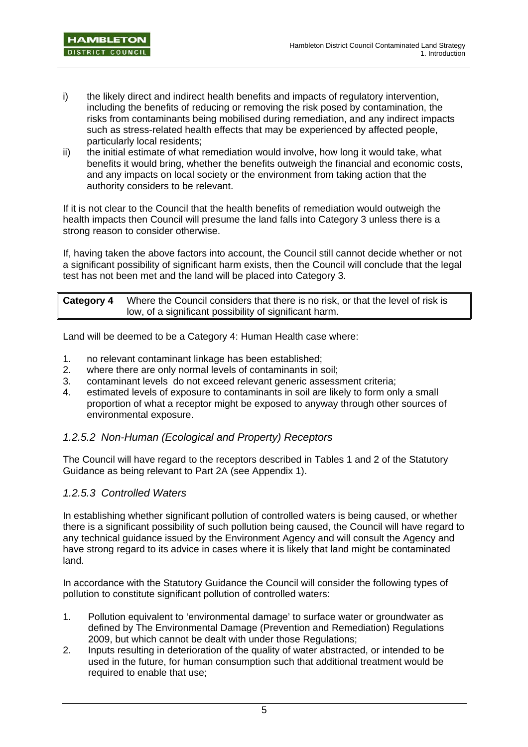- i) the likely direct and indirect health benefits and impacts of regulatory intervention, including the benefits of reducing or removing the risk posed by contamination, the risks from contaminants being mobilised during remediation, and any indirect impacts such as stress-related health effects that may be experienced by affected people, particularly local residents;
- ii) the initial estimate of what remediation would involve, how long it would take, what benefits it would bring, whether the benefits outweigh the financial and economic costs, and any impacts on local society or the environment from taking action that the authority considers to be relevant.

If it is not clear to the Council that the health benefits of remediation would outweigh the health impacts then Council will presume the land falls into Category 3 unless there is a strong reason to consider otherwise.

If, having taken the above factors into account, the Council still cannot decide whether or not a significant possibility of significant harm exists, then the Council will conclude that the legal test has not been met and the land will be placed into Category 3.

**Category 4** Where the Council considers that there is no risk, or that the level of risk is low, of a significant possibility of significant harm.

Land will be deemed to be a Category 4: Human Health case where:

- 1. no relevant contaminant linkage has been established;
- 2. where there are only normal levels of contaminants in soil;
- 3. contaminant levels do not exceed relevant generic assessment criteria;
- 4. estimated levels of exposure to contaminants in soil are likely to form only a small proportion of what a receptor might be exposed to anyway through other sources of environmental exposure.

### *1.2.5.2 Non-Human (Ecological and Property) Receptors*

The Council will have regard to the receptors described in Tables 1 and 2 of the Statutory Guidance as being relevant to Part 2A (see Appendix 1).

### *1.2.5.3 Controlled Waters*

In establishing whether significant pollution of controlled waters is being caused, or whether there is a significant possibility of such pollution being caused, the Council will have regard to any technical guidance issued by the Environment Agency and will consult the Agency and have strong regard to its advice in cases where it is likely that land might be contaminated land.

In accordance with the Statutory Guidance the Council will consider the following types of pollution to constitute significant pollution of controlled waters:

- 1. Pollution equivalent to 'environmental damage' to surface water or groundwater as defined by The Environmental Damage (Prevention and Remediation) Regulations 2009, but which cannot be dealt with under those Regulations;
- 2. Inputs resulting in deterioration of the quality of water abstracted, or intended to be used in the future, for human consumption such that additional treatment would be required to enable that use;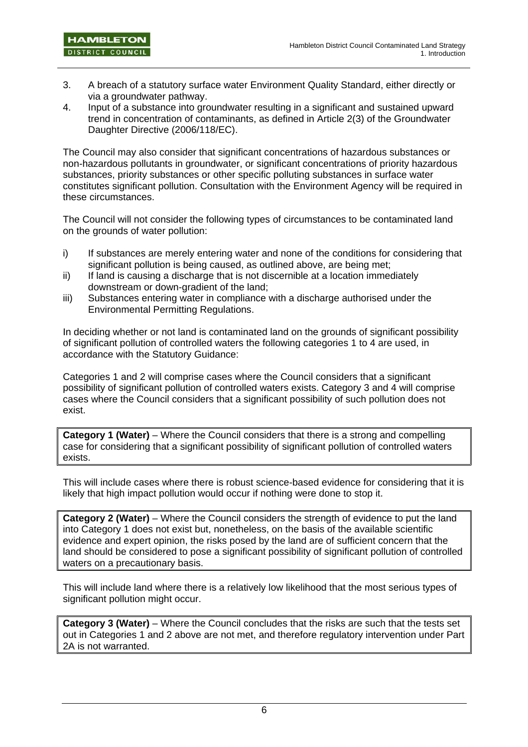- 3. A breach of a statutory surface water Environment Quality Standard, either directly or via a groundwater pathway.
- 4. Input of a substance into groundwater resulting in a significant and sustained upward trend in concentration of contaminants, as defined in Article 2(3) of the Groundwater Daughter Directive (2006/118/EC).

The Council may also consider that significant concentrations of hazardous substances or non-hazardous pollutants in groundwater, or significant concentrations of priority hazardous substances, priority substances or other specific polluting substances in surface water constitutes significant pollution. Consultation with the Environment Agency will be required in these circumstances.

The Council will not consider the following types of circumstances to be contaminated land on the grounds of water pollution:

- i) If substances are merely entering water and none of the conditions for considering that significant pollution is being caused, as outlined above, are being met;
- ii) If land is causing a discharge that is not discernible at a location immediately downstream or down-gradient of the land;
- iii) Substances entering water in compliance with a discharge authorised under the Environmental Permitting Regulations.

In deciding whether or not land is contaminated land on the grounds of significant possibility of significant pollution of controlled waters the following categories 1 to 4 are used, in accordance with the Statutory Guidance:

Categories 1 and 2 will comprise cases where the Council considers that a significant possibility of significant pollution of controlled waters exists. Category 3 and 4 will comprise cases where the Council considers that a significant possibility of such pollution does not exist.

**Category 1 (Water)** – Where the Council considers that there is a strong and compelling case for considering that a significant possibility of significant pollution of controlled waters exists.

This will include cases where there is robust science-based evidence for considering that it is likely that high impact pollution would occur if nothing were done to stop it.

**Category 2 (Water)** – Where the Council considers the strength of evidence to put the land into Category 1 does not exist but, nonetheless, on the basis of the available scientific evidence and expert opinion, the risks posed by the land are of sufficient concern that the land should be considered to pose a significant possibility of significant pollution of controlled waters on a precautionary basis.

This will include land where there is a relatively low likelihood that the most serious types of significant pollution might occur.

**Category 3 (Water)** – Where the Council concludes that the risks are such that the tests set out in Categories 1 and 2 above are not met, and therefore regulatory intervention under Part 2A is not warranted.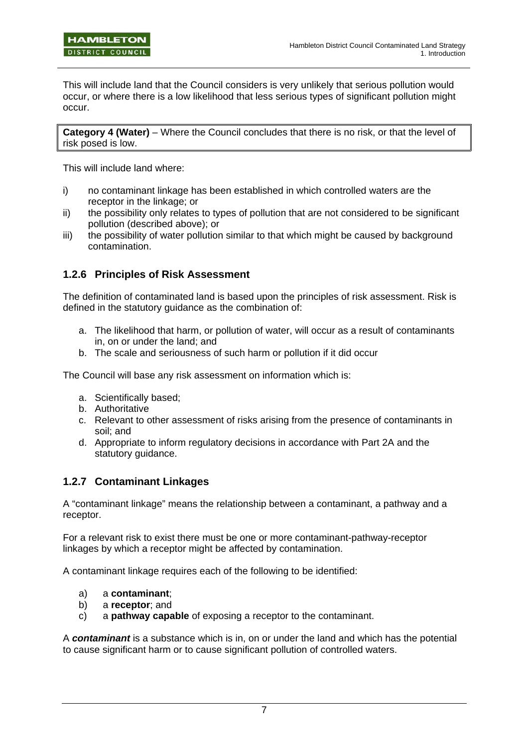This will include land that the Council considers is very unlikely that serious pollution would occur, or where there is a low likelihood that less serious types of significant pollution might occur.

**Category 4 (Water)** – Where the Council concludes that there is no risk, or that the level of risk posed is low.

This will include land where:

- i) no contaminant linkage has been established in which controlled waters are the receptor in the linkage; or
- ii) the possibility only relates to types of pollution that are not considered to be significant pollution (described above); or
- iii) the possibility of water pollution similar to that which might be caused by background contamination.

### **1.2.6 Principles of Risk Assessment**

The definition of contaminated land is based upon the principles of risk assessment. Risk is defined in the statutory guidance as the combination of:

- a. The likelihood that harm, or pollution of water, will occur as a result of contaminants in, on or under the land; and
- b. The scale and seriousness of such harm or pollution if it did occur

The Council will base any risk assessment on information which is:

- a. Scientifically based;
- b. Authoritative
- c. Relevant to other assessment of risks arising from the presence of contaminants in soil; and
- d. Appropriate to inform regulatory decisions in accordance with Part 2A and the statutory guidance.

### **1.2.7 Contaminant Linkages**

A "contaminant linkage" means the relationship between a contaminant, a pathway and a receptor.

For a relevant risk to exist there must be one or more contaminant-pathway-receptor linkages by which a receptor might be affected by contamination.

A contaminant linkage requires each of the following to be identified:

- a) a **contaminant**;
- b) a **receptor**; and
- c) a **pathway capable** of exposing a receptor to the contaminant.

A *contaminant* is a substance which is in, on or under the land and which has the potential to cause significant harm or to cause significant pollution of controlled waters.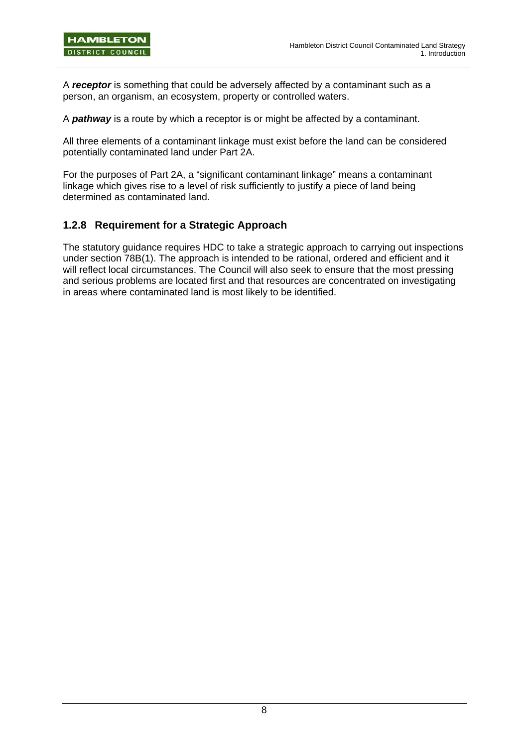A *receptor* is something that could be adversely affected by a contaminant such as a person, an organism, an ecosystem, property or controlled waters.

A *pathway* is a route by which a receptor is or might be affected by a contaminant.

All three elements of a contaminant linkage must exist before the land can be considered potentially contaminated land under Part 2A.

For the purposes of Part 2A, a "significant contaminant linkage" means a contaminant linkage which gives rise to a level of risk sufficiently to justify a piece of land being determined as contaminated land.

### **1.2.8 Requirement for a Strategic Approach**

The statutory guidance requires HDC to take a strategic approach to carrying out inspections under section 78B(1). The approach is intended to be rational, ordered and efficient and it will reflect local circumstances. The Council will also seek to ensure that the most pressing and serious problems are located first and that resources are concentrated on investigating in areas where contaminated land is most likely to be identified.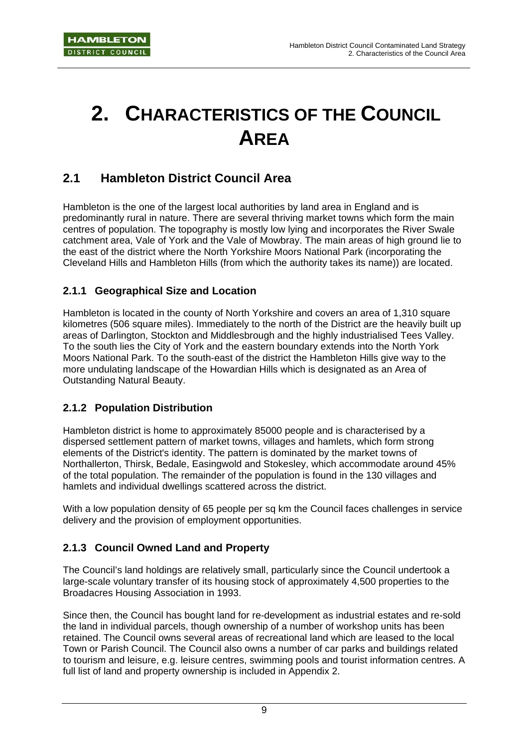# **2. CHARACTERISTICS OF THE COUNCIL AREA**

# **2.1 Hambleton District Council Area**

Hambleton is the one of the largest local authorities by land area in England and is predominantly rural in nature. There are several thriving market towns which form the main centres of population. The topography is mostly low lying and incorporates the River Swale catchment area, Vale of York and the Vale of Mowbray. The main areas of high ground lie to the east of the district where the North Yorkshire Moors National Park (incorporating the Cleveland Hills and Hambleton Hills (from which the authority takes its name)) are located.

### **2.1.1 Geographical Size and Location**

Hambleton is located in the county of North Yorkshire and covers an area of 1,310 square kilometres (506 square miles). Immediately to the north of the District are the heavily built up areas of Darlington, Stockton and Middlesbrough and the highly industrialised Tees Valley. To the south lies the City of York and the eastern boundary extends into the North York Moors National Park. To the south-east of the district the Hambleton Hills give way to the more undulating landscape of the Howardian Hills which is designated as an Area of Outstanding Natural Beauty.

### **2.1.2 Population Distribution**

Hambleton district is home to approximately 85000 people and is characterised by a dispersed settlement pattern of market towns, villages and hamlets, which form strong elements of the District's identity. The pattern is dominated by the market towns of Northallerton, Thirsk, Bedale, Easingwold and Stokesley, which accommodate around 45% of the total population. The remainder of the population is found in the 130 villages and hamlets and individual dwellings scattered across the district.

With a low population density of 65 people per sq km the Council faces challenges in service delivery and the provision of employment opportunities.

### **2.1.3 Council Owned Land and Property**

The Council's land holdings are relatively small, particularly since the Council undertook a large-scale voluntary transfer of its housing stock of approximately 4,500 properties to the Broadacres Housing Association in 1993.

Since then, the Council has bought land for re-development as industrial estates and re-sold the land in individual parcels, though ownership of a number of workshop units has been retained. The Council owns several areas of recreational land which are leased to the local Town or Parish Council. The Council also owns a number of car parks and buildings related to tourism and leisure, e.g. leisure centres, swimming pools and tourist information centres. A full list of land and property ownership is included in Appendix 2.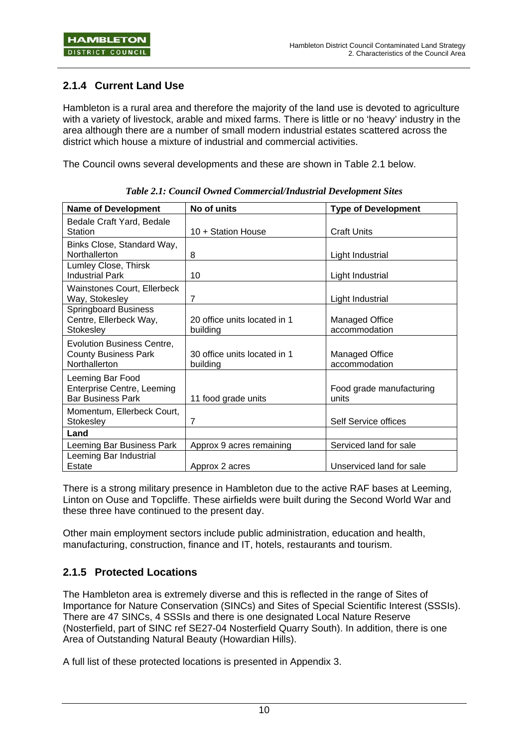### **2.1.4 Current Land Use**

Hambleton is a rural area and therefore the majority of the land use is devoted to agriculture with a variety of livestock, arable and mixed farms. There is little or no 'heavy' industry in the area although there are a number of small modern industrial estates scattered across the district which house a mixture of industrial and commercial activities.

The Council owns several developments and these are shown in Table 2.1 below.

| <b>Name of Development</b>                                                        | No of units                              | <b>Type of Development</b>             |
|-----------------------------------------------------------------------------------|------------------------------------------|----------------------------------------|
| Bedale Craft Yard, Bedale<br>Station                                              | 10 + Station House                       | <b>Craft Units</b>                     |
| Binks Close, Standard Way,<br>Northallerton                                       | 8                                        | Light Industrial                       |
| Lumley Close, Thirsk<br><b>Industrial Park</b>                                    | 10                                       | Light Industrial                       |
| Wainstones Court, Ellerbeck<br>Way, Stokesley                                     | $\overline{7}$                           | Light Industrial                       |
| <b>Springboard Business</b><br>Centre, Ellerbeck Way,<br>Stokesley                | 20 office units located in 1<br>building | <b>Managed Office</b><br>accommodation |
| <b>Evolution Business Centre,</b><br><b>County Business Park</b><br>Northallerton | 30 office units located in 1<br>building | <b>Managed Office</b><br>accommodation |
| Leeming Bar Food<br>Enterprise Centre, Leeming<br><b>Bar Business Park</b>        | 11 food grade units                      | Food grade manufacturing<br>units      |
| Momentum, Ellerbeck Court,<br>Stokesley                                           | $\overline{7}$                           | Self Service offices                   |
| Land                                                                              |                                          |                                        |
| Leeming Bar Business Park                                                         | Approx 9 acres remaining                 | Serviced land for sale                 |
| Leeming Bar Industrial<br>Estate                                                  | Approx 2 acres                           | Unserviced land for sale               |

*Table 2.1: Council Owned Commercial/Industrial Development Sites* 

There is a strong military presence in Hambleton due to the active RAF bases at Leeming, Linton on Ouse and Topcliffe. These airfields were built during the Second World War and these three have continued to the present day.

Other main employment sectors include public administration, education and health, manufacturing, construction, finance and IT, hotels, restaurants and tourism.

### **2.1.5 Protected Locations**

The Hambleton area is extremely diverse and this is reflected in the range of Sites of Importance for Nature Conservation (SINCs) and Sites of Special Scientific Interest (SSSIs). There are 47 SINCs, 4 SSSIs and there is one designated Local Nature Reserve (Nosterfield, part of SINC ref SE27-04 Nosterfield Quarry South). In addition, there is one Area of Outstanding Natural Beauty (Howardian Hills).

A full list of these protected locations is presented in Appendix 3.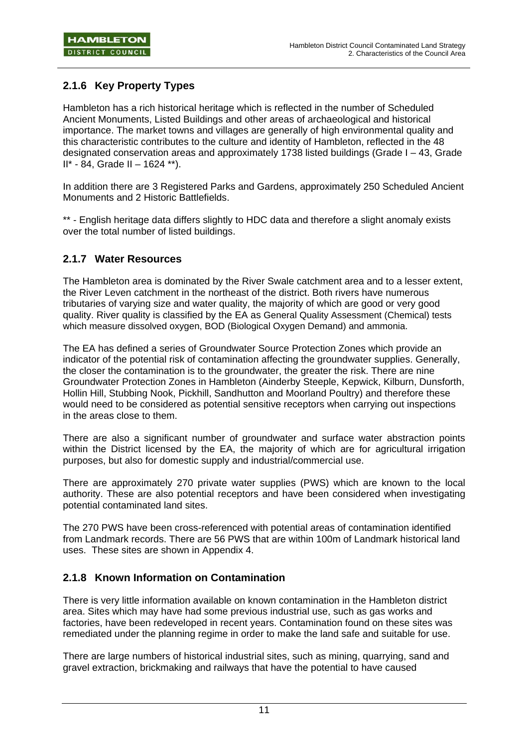### **2.1.6 Key Property Types**

Hambleton has a rich historical heritage which is reflected in the number of Scheduled Ancient Monuments, Listed Buildings and other areas of archaeological and historical importance. The market towns and villages are generally of high environmental quality and this characteristic contributes to the culture and identity of Hambleton, reflected in the 48 designated conservation areas and approximately 1738 listed buildings (Grade I – 43, Grade  $II^* - 84$ . Grade II – 1624 \*\*).

In addition there are 3 Registered Parks and Gardens, approximately 250 Scheduled Ancient Monuments and 2 Historic Battlefields.

\*\* - English heritage data differs slightly to HDC data and therefore a slight anomaly exists over the total number of listed buildings.

### **2.1.7 Water Resources**

The Hambleton area is dominated by the River Swale catchment area and to a lesser extent, the River Leven catchment in the northeast of the district. Both rivers have numerous tributaries of varying size and water quality, the majority of which are good or very good quality. River quality is classified by the EA as General Quality Assessment (Chemical) tests which measure dissolved oxygen, BOD (Biological Oxygen Demand) and ammonia.

The EA has defined a series of Groundwater Source Protection Zones which provide an indicator of the potential risk of contamination affecting the groundwater supplies. Generally, the closer the contamination is to the groundwater, the greater the risk. There are nine Groundwater Protection Zones in Hambleton (Ainderby Steeple, Kepwick, Kilburn, Dunsforth, Hollin Hill, Stubbing Nook, Pickhill, Sandhutton and Moorland Poultry) and therefore these would need to be considered as potential sensitive receptors when carrying out inspections in the areas close to them.

There are also a significant number of groundwater and surface water abstraction points within the District licensed by the EA, the majority of which are for agricultural irrigation purposes, but also for domestic supply and industrial/commercial use.

There are approximately 270 private water supplies (PWS) which are known to the local authority. These are also potential receptors and have been considered when investigating potential contaminated land sites.

The 270 PWS have been cross-referenced with potential areas of contamination identified from Landmark records. There are 56 PWS that are within 100m of Landmark historical land uses. These sites are shown in Appendix 4.

### **2.1.8 Known Information on Contamination**

There is very little information available on known contamination in the Hambleton district area. Sites which may have had some previous industrial use, such as gas works and factories, have been redeveloped in recent years. Contamination found on these sites was remediated under the planning regime in order to make the land safe and suitable for use.

There are large numbers of historical industrial sites, such as mining, quarrying, sand and gravel extraction, brickmaking and railways that have the potential to have caused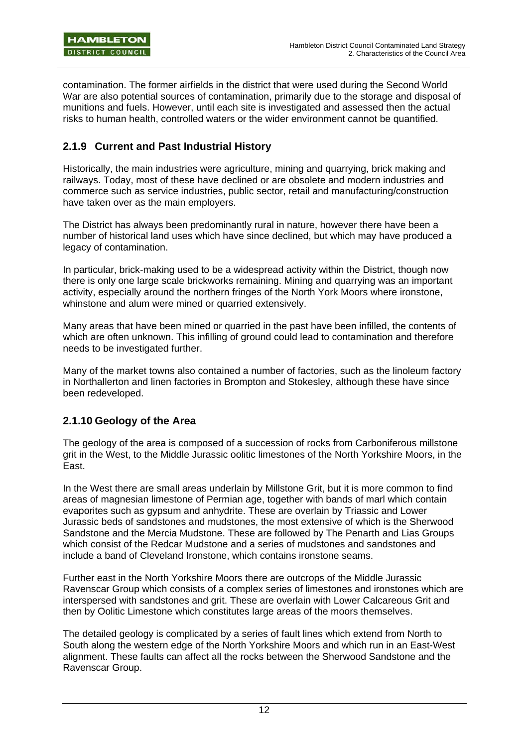contamination. The former airfields in the district that were used during the Second World War are also potential sources of contamination, primarily due to the storage and disposal of munitions and fuels. However, until each site is investigated and assessed then the actual risks to human health, controlled waters or the wider environment cannot be quantified.

### **2.1.9 Current and Past Industrial History**

Historically, the main industries were agriculture, mining and quarrying, brick making and railways. Today, most of these have declined or are obsolete and modern industries and commerce such as service industries, public sector, retail and manufacturing/construction have taken over as the main employers.

The District has always been predominantly rural in nature, however there have been a number of historical land uses which have since declined, but which may have produced a legacy of contamination.

In particular, brick-making used to be a widespread activity within the District, though now there is only one large scale brickworks remaining. Mining and quarrying was an important activity, especially around the northern fringes of the North York Moors where ironstone, whinstone and alum were mined or quarried extensively.

Many areas that have been mined or quarried in the past have been infilled, the contents of which are often unknown. This infilling of ground could lead to contamination and therefore needs to be investigated further.

Many of the market towns also contained a number of factories, such as the linoleum factory in Northallerton and linen factories in Brompton and Stokesley, although these have since been redeveloped.

### **2.1.10 Geology of the Area**

The geology of the area is composed of a succession of rocks from Carboniferous millstone grit in the West, to the Middle Jurassic oolitic limestones of the North Yorkshire Moors, in the East.

In the West there are small areas underlain by Millstone Grit, but it is more common to find areas of magnesian limestone of Permian age, together with bands of marl which contain evaporites such as gypsum and anhydrite. These are overlain by Triassic and Lower Jurassic beds of sandstones and mudstones, the most extensive of which is the Sherwood Sandstone and the Mercia Mudstone. These are followed by The Penarth and Lias Groups which consist of the Redcar Mudstone and a series of mudstones and sandstones and include a band of Cleveland Ironstone, which contains ironstone seams.

Further east in the North Yorkshire Moors there are outcrops of the Middle Jurassic Ravenscar Group which consists of a complex series of limestones and ironstones which are interspersed with sandstones and grit. These are overlain with Lower Calcareous Grit and then by Oolitic Limestone which constitutes large areas of the moors themselves.

The detailed geology is complicated by a series of fault lines which extend from North to South along the western edge of the North Yorkshire Moors and which run in an East-West alignment. These faults can affect all the rocks between the Sherwood Sandstone and the Ravenscar Group.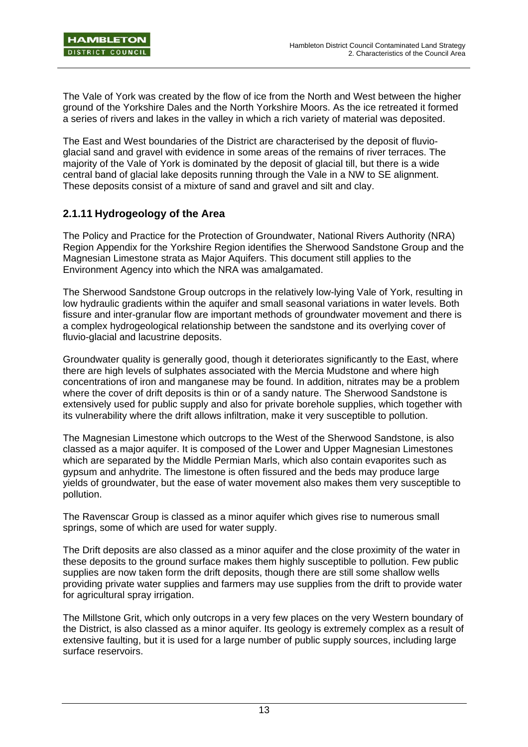The Vale of York was created by the flow of ice from the North and West between the higher ground of the Yorkshire Dales and the North Yorkshire Moors. As the ice retreated it formed a series of rivers and lakes in the valley in which a rich variety of material was deposited.

The East and West boundaries of the District are characterised by the deposit of fluvioglacial sand and gravel with evidence in some areas of the remains of river terraces. The majority of the Vale of York is dominated by the deposit of glacial till, but there is a wide central band of glacial lake deposits running through the Vale in a NW to SE alignment. These deposits consist of a mixture of sand and gravel and silt and clay.

### **2.1.11 Hydrogeology of the Area**

The Policy and Practice for the Protection of Groundwater, National Rivers Authority (NRA) Region Appendix for the Yorkshire Region identifies the Sherwood Sandstone Group and the Magnesian Limestone strata as Major Aquifers. This document still applies to the Environment Agency into which the NRA was amalgamated.

The Sherwood Sandstone Group outcrops in the relatively low-lying Vale of York, resulting in low hydraulic gradients within the aquifer and small seasonal variations in water levels. Both fissure and inter-granular flow are important methods of groundwater movement and there is a complex hydrogeological relationship between the sandstone and its overlying cover of fluvio-glacial and lacustrine deposits.

Groundwater quality is generally good, though it deteriorates significantly to the East, where there are high levels of sulphates associated with the Mercia Mudstone and where high concentrations of iron and manganese may be found. In addition, nitrates may be a problem where the cover of drift deposits is thin or of a sandy nature. The Sherwood Sandstone is extensively used for public supply and also for private borehole supplies, which together with its vulnerability where the drift allows infiltration, make it very susceptible to pollution.

The Magnesian Limestone which outcrops to the West of the Sherwood Sandstone, is also classed as a major aquifer. It is composed of the Lower and Upper Magnesian Limestones which are separated by the Middle Permian Marls, which also contain evaporites such as gypsum and anhydrite. The limestone is often fissured and the beds may produce large yields of groundwater, but the ease of water movement also makes them very susceptible to pollution.

The Ravenscar Group is classed as a minor aquifer which gives rise to numerous small springs, some of which are used for water supply.

The Drift deposits are also classed as a minor aquifer and the close proximity of the water in these deposits to the ground surface makes them highly susceptible to pollution. Few public supplies are now taken form the drift deposits, though there are still some shallow wells providing private water supplies and farmers may use supplies from the drift to provide water for agricultural spray irrigation.

The Millstone Grit, which only outcrops in a very few places on the very Western boundary of the District, is also classed as a minor aquifer. Its geology is extremely complex as a result of extensive faulting, but it is used for a large number of public supply sources, including large surface reservoirs.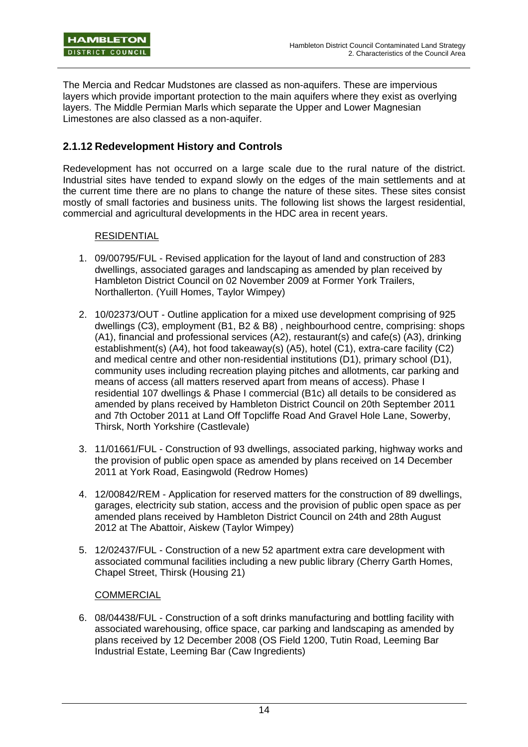The Mercia and Redcar Mudstones are classed as non-aquifers. These are impervious layers which provide important protection to the main aquifers where they exist as overlying layers. The Middle Permian Marls which separate the Upper and Lower Magnesian Limestones are also classed as a non-aquifer.

### **2.1.12 Redevelopment History and Controls**

Redevelopment has not occurred on a large scale due to the rural nature of the district. Industrial sites have tended to expand slowly on the edges of the main settlements and at the current time there are no plans to change the nature of these sites. These sites consist mostly of small factories and business units. The following list shows the largest residential, commercial and agricultural developments in the HDC area in recent years.

### RESIDENTIAL

- 1. 09/00795/FUL Revised application for the layout of land and construction of 283 dwellings, associated garages and landscaping as amended by plan received by Hambleton District Council on 02 November 2009 at Former York Trailers, Northallerton. (Yuill Homes, Taylor Wimpey)
- 2. 10/02373/OUT Outline application for a mixed use development comprising of 925 dwellings (C3), employment (B1, B2 & B8) , neighbourhood centre, comprising: shops (A1), financial and professional services (A2), restaurant(s) and cafe(s) (A3), drinking establishment(s) (A4), hot food takeaway(s) (A5), hotel (C1), extra-care facility (C2) and medical centre and other non-residential institutions (D1), primary school (D1), community uses including recreation playing pitches and allotments, car parking and means of access (all matters reserved apart from means of access). Phase I residential 107 dwellings & Phase I commercial (B1c) all details to be considered as amended by plans received by Hambleton District Council on 20th September 2011 and 7th October 2011 at Land Off Topcliffe Road And Gravel Hole Lane, Sowerby, Thirsk, North Yorkshire (Castlevale)
- 3. 11/01661/FUL Construction of 93 dwellings, associated parking, highway works and the provision of public open space as amended by plans received on 14 December 2011 at York Road, Easingwold (Redrow Homes)
- 4. 12/00842/REM Application for reserved matters for the construction of 89 dwellings, garages, electricity sub station, access and the provision of public open space as per amended plans received by Hambleton District Council on 24th and 28th August 2012 at The Abattoir, Aiskew (Taylor Wimpey)
- 5. 12/02437/FUL Construction of a new 52 apartment extra care development with associated communal facilities including a new public library (Cherry Garth Homes, Chapel Street, Thirsk (Housing 21)

#### COMMERCIAL

6. 08/04438/FUL - Construction of a soft drinks manufacturing and bottling facility with associated warehousing, office space, car parking and landscaping as amended by plans received by 12 December 2008 (OS Field 1200, Tutin Road, Leeming Bar Industrial Estate, Leeming Bar (Caw Ingredients)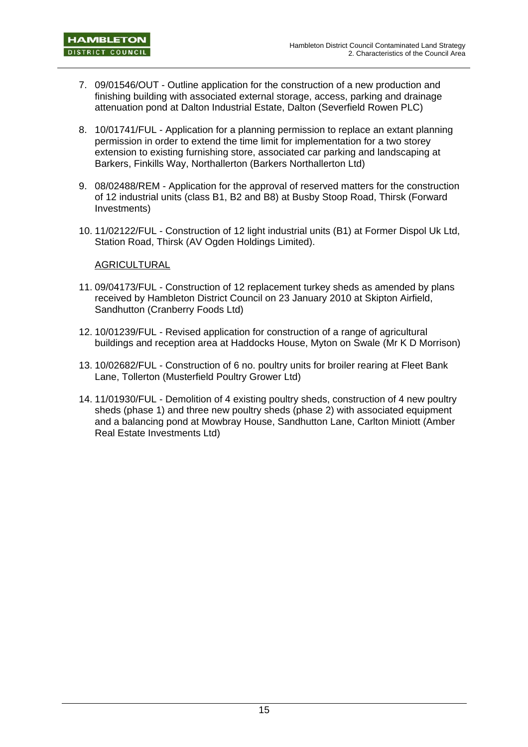- 7. 09/01546/OUT Outline application for the construction of a new production and finishing building with associated external storage, access, parking and drainage attenuation pond at Dalton Industrial Estate, Dalton (Severfield Rowen PLC)
- 8. 10/01741/FUL Application for a planning permission to replace an extant planning permission in order to extend the time limit for implementation for a two storey extension to existing furnishing store, associated car parking and landscaping at Barkers, Finkills Way, Northallerton (Barkers Northallerton Ltd)
- 9. 08/02488/REM Application for the approval of reserved matters for the construction of 12 industrial units (class B1, B2 and B8) at Busby Stoop Road, Thirsk (Forward Investments)
- 10. 11/02122/FUL Construction of 12 light industrial units (B1) at Former Dispol Uk Ltd, Station Road, Thirsk (AV Ogden Holdings Limited).

### **AGRICULTURAL**

- 11. 09/04173/FUL Construction of 12 replacement turkey sheds as amended by plans received by Hambleton District Council on 23 January 2010 at Skipton Airfield, Sandhutton (Cranberry Foods Ltd)
- 12. 10/01239/FUL Revised application for construction of a range of agricultural buildings and reception area at Haddocks House, Myton on Swale (Mr K D Morrison)
- 13. 10/02682/FUL Construction of 6 no. poultry units for broiler rearing at Fleet Bank Lane, Tollerton (Musterfield Poultry Grower Ltd)
- 14. 11/01930/FUL Demolition of 4 existing poultry sheds, construction of 4 new poultry sheds (phase 1) and three new poultry sheds (phase 2) with associated equipment and a balancing pond at Mowbray House, Sandhutton Lane, Carlton Miniott (Amber Real Estate Investments Ltd)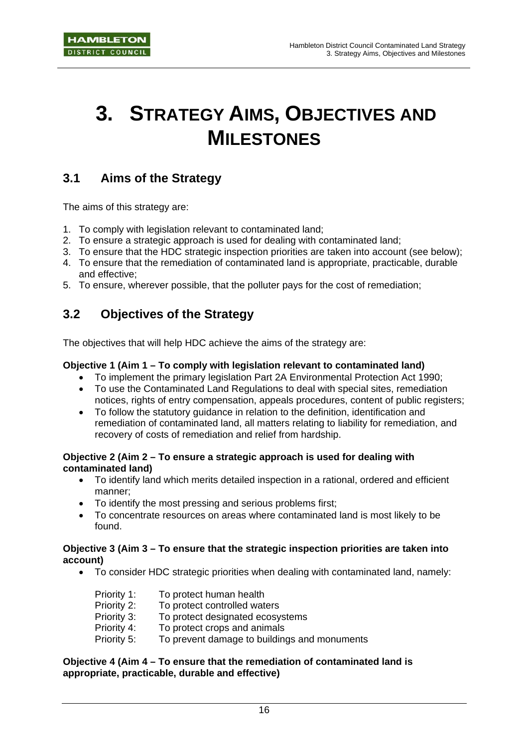# **3. STRATEGY AIMS, OBJECTIVES AND MILESTONES**

## **3.1 Aims of the Strategy**

The aims of this strategy are:

- 1. To comply with legislation relevant to contaminated land;
- 2. To ensure a strategic approach is used for dealing with contaminated land;
- 3. To ensure that the HDC strategic inspection priorities are taken into account (see below);
- 4. To ensure that the remediation of contaminated land is appropriate, practicable, durable and effective;
- 5. To ensure, wherever possible, that the polluter pays for the cost of remediation;

## **3.2 Objectives of the Strategy**

The objectives that will help HDC achieve the aims of the strategy are:

### **Objective 1 (Aim 1 – To comply with legislation relevant to contaminated land)**

- To implement the primary legislation Part 2A Environmental Protection Act 1990;
- To use the Contaminated Land Regulations to deal with special sites, remediation notices, rights of entry compensation, appeals procedures, content of public registers;
- To follow the statutory guidance in relation to the definition, identification and remediation of contaminated land, all matters relating to liability for remediation, and recovery of costs of remediation and relief from hardship.

### **Objective 2 (Aim 2 – To ensure a strategic approach is used for dealing with contaminated land)**

- To identify land which merits detailed inspection in a rational, ordered and efficient manner;
- To identify the most pressing and serious problems first;
- To concentrate resources on areas where contaminated land is most likely to be found.

### **Objective 3 (Aim 3 – To ensure that the strategic inspection priorities are taken into account)**

• To consider HDC strategic priorities when dealing with contaminated land, namely:

| Priority 1: | To protect human health                      |
|-------------|----------------------------------------------|
| Priority 2: | To protect controlled waters                 |
| Priority 3: | To protect designated ecosystems             |
| Priority 4: | To protect crops and animals                 |
| Priority 5: | To prevent damage to buildings and monuments |

### **Objective 4 (Aim 4 – To ensure that the remediation of contaminated land is appropriate, practicable, durable and effective)**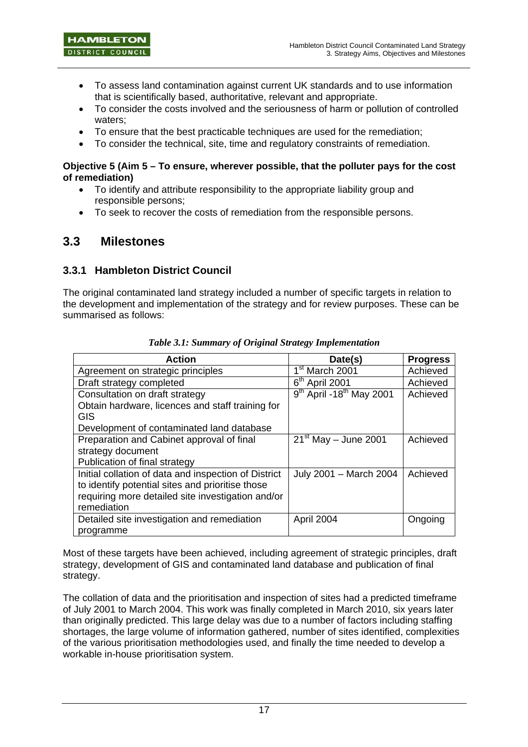- To assess land contamination against current UK standards and to use information that is scientifically based, authoritative, relevant and appropriate.
- To consider the costs involved and the seriousness of harm or pollution of controlled waters;
- To ensure that the best practicable techniques are used for the remediation;
- To consider the technical, site, time and regulatory constraints of remediation.

### **Objective 5 (Aim 5 – To ensure, wherever possible, that the polluter pays for the cost of remediation)**

- To identify and attribute responsibility to the appropriate liability group and responsible persons;
- To seek to recover the costs of remediation from the responsible persons.

## **3.3 Milestones**

### **3.3.1 Hambleton District Council**

The original contaminated land strategy included a number of specific targets in relation to the development and implementation of the strategy and for review purposes. These can be summarised as follows:

| <b>Action</b>                                        | Date(s)                                | <b>Progress</b> |
|------------------------------------------------------|----------------------------------------|-----------------|
| Agreement on strategic principles                    | 1 <sup>st</sup> March 2001             | Achieved        |
| Draft strategy completed                             | $6th$ April 2001                       | Achieved        |
| Consultation on draft strategy                       | $9th$ April -18 <sup>th</sup> May 2001 | Achieved        |
| Obtain hardware, licences and staff training for     |                                        |                 |
| <b>GIS</b>                                           |                                        |                 |
| Development of contaminated land database            |                                        |                 |
| Preparation and Cabinet approval of final            | $21st$ May - June 2001                 | Achieved        |
| strategy document                                    |                                        |                 |
| Publication of final strategy                        |                                        |                 |
| Initial collation of data and inspection of District | July 2001 - March 2004                 | Achieved        |
| to identify potential sites and prioritise those     |                                        |                 |
| requiring more detailed site investigation and/or    |                                        |                 |
| remediation                                          |                                        |                 |
| Detailed site investigation and remediation          | April 2004                             | Ongoing         |
| programme                                            |                                        |                 |

*Table 3.1: Summary of Original Strategy Implementation* 

Most of these targets have been achieved, including agreement of strategic principles, draft strategy, development of GIS and contaminated land database and publication of final strategy.

The collation of data and the prioritisation and inspection of sites had a predicted timeframe of July 2001 to March 2004. This work was finally completed in March 2010, six years later than originally predicted. This large delay was due to a number of factors including staffing shortages, the large volume of information gathered, number of sites identified, complexities of the various prioritisation methodologies used, and finally the time needed to develop a workable in-house prioritisation system.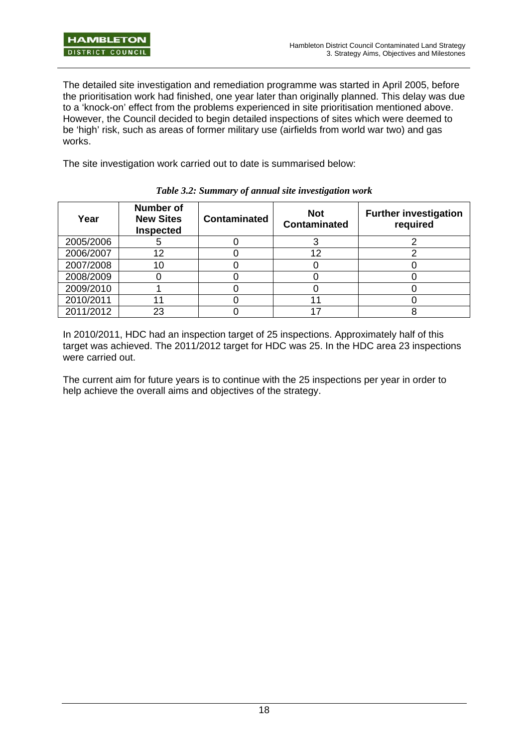The detailed site investigation and remediation programme was started in April 2005, before the prioritisation work had finished, one year later than originally planned. This delay was due to a 'knock-on' effect from the problems experienced in site prioritisation mentioned above. However, the Council decided to begin detailed inspections of sites which were deemed to be 'high' risk, such as areas of former military use (airfields from world war two) and gas works.

The site investigation work carried out to date is summarised below:

| Year      | <b>Number of</b><br><b>New Sites</b><br><b>Inspected</b> | <b>Contaminated</b> | <b>Not</b><br><b>Contaminated</b> | <b>Further investigation</b><br>required |
|-----------|----------------------------------------------------------|---------------------|-----------------------------------|------------------------------------------|
| 2005/2006 |                                                          |                     |                                   |                                          |
| 2006/2007 | 12                                                       |                     | 12                                |                                          |
| 2007/2008 | 10                                                       |                     |                                   |                                          |
| 2008/2009 |                                                          |                     |                                   |                                          |
| 2009/2010 |                                                          |                     |                                   |                                          |
| 2010/2011 |                                                          |                     |                                   |                                          |
| 2011/2012 | 23                                                       |                     |                                   |                                          |

*Table 3.2: Summary of annual site investigation work* 

In 2010/2011, HDC had an inspection target of 25 inspections. Approximately half of this target was achieved. The 2011/2012 target for HDC was 25. In the HDC area 23 inspections were carried out.

The current aim for future years is to continue with the 25 inspections per year in order to help achieve the overall aims and objectives of the strategy.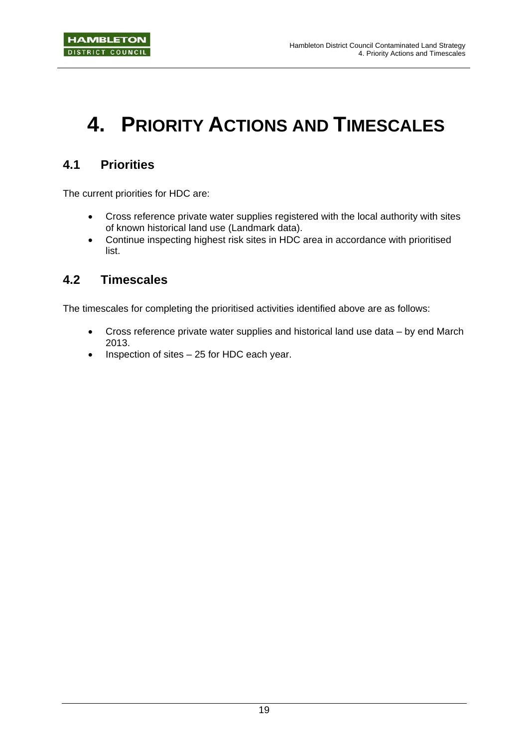# **4. PRIORITY ACTIONS AND TIMESCALES**

# **4.1 Priorities**

The current priorities for HDC are:

- Cross reference private water supplies registered with the local authority with sites of known historical land use (Landmark data).
- Continue inspecting highest risk sites in HDC area in accordance with prioritised list.

## **4.2 Timescales**

The timescales for completing the prioritised activities identified above are as follows:

- Cross reference private water supplies and historical land use data by end March 2013.
- Inspection of sites 25 for HDC each year.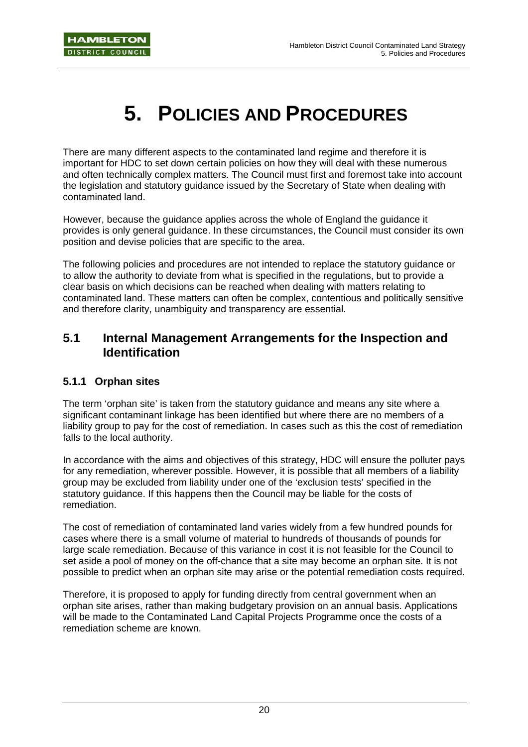# **5. POLICIES AND PROCEDURES**

There are many different aspects to the contaminated land regime and therefore it is important for HDC to set down certain policies on how they will deal with these numerous and often technically complex matters. The Council must first and foremost take into account the legislation and statutory guidance issued by the Secretary of State when dealing with contaminated land.

However, because the guidance applies across the whole of England the guidance it provides is only general guidance. In these circumstances, the Council must consider its own position and devise policies that are specific to the area.

The following policies and procedures are not intended to replace the statutory guidance or to allow the authority to deviate from what is specified in the regulations, but to provide a clear basis on which decisions can be reached when dealing with matters relating to contaminated land. These matters can often be complex, contentious and politically sensitive and therefore clarity, unambiguity and transparency are essential.

### **5.1 Internal Management Arrangements for the Inspection and Identification**

### **5.1.1 Orphan sites**

The term 'orphan site' is taken from the statutory guidance and means any site where a significant contaminant linkage has been identified but where there are no members of a liability group to pay for the cost of remediation. In cases such as this the cost of remediation falls to the local authority.

In accordance with the aims and objectives of this strategy, HDC will ensure the polluter pays for any remediation, wherever possible. However, it is possible that all members of a liability group may be excluded from liability under one of the 'exclusion tests' specified in the statutory guidance. If this happens then the Council may be liable for the costs of remediation.

The cost of remediation of contaminated land varies widely from a few hundred pounds for cases where there is a small volume of material to hundreds of thousands of pounds for large scale remediation. Because of this variance in cost it is not feasible for the Council to set aside a pool of money on the off-chance that a site may become an orphan site. It is not possible to predict when an orphan site may arise or the potential remediation costs required.

Therefore, it is proposed to apply for funding directly from central government when an orphan site arises, rather than making budgetary provision on an annual basis. Applications will be made to the Contaminated Land Capital Projects Programme once the costs of a remediation scheme are known.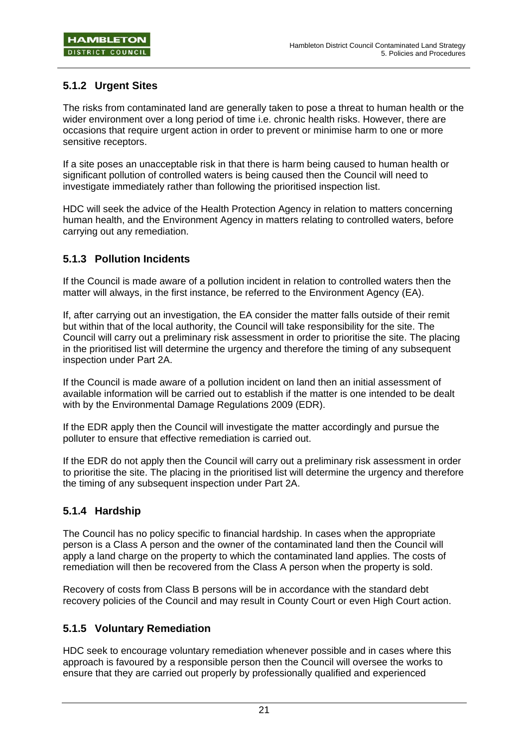## **5.1.2 Urgent Sites**

The risks from contaminated land are generally taken to pose a threat to human health or the wider environment over a long period of time i.e. chronic health risks. However, there are occasions that require urgent action in order to prevent or minimise harm to one or more sensitive receptors.

If a site poses an unacceptable risk in that there is harm being caused to human health or significant pollution of controlled waters is being caused then the Council will need to investigate immediately rather than following the prioritised inspection list.

HDC will seek the advice of the Health Protection Agency in relation to matters concerning human health, and the Environment Agency in matters relating to controlled waters, before carrying out any remediation.

### **5.1.3 Pollution Incidents**

If the Council is made aware of a pollution incident in relation to controlled waters then the matter will always, in the first instance, be referred to the Environment Agency (EA).

If, after carrying out an investigation, the EA consider the matter falls outside of their remit but within that of the local authority, the Council will take responsibility for the site. The Council will carry out a preliminary risk assessment in order to prioritise the site. The placing in the prioritised list will determine the urgency and therefore the timing of any subsequent inspection under Part 2A.

If the Council is made aware of a pollution incident on land then an initial assessment of available information will be carried out to establish if the matter is one intended to be dealt with by the Environmental Damage Regulations 2009 (EDR).

If the EDR apply then the Council will investigate the matter accordingly and pursue the polluter to ensure that effective remediation is carried out.

If the EDR do not apply then the Council will carry out a preliminary risk assessment in order to prioritise the site. The placing in the prioritised list will determine the urgency and therefore the timing of any subsequent inspection under Part 2A.

### **5.1.4 Hardship**

The Council has no policy specific to financial hardship. In cases when the appropriate person is a Class A person and the owner of the contaminated land then the Council will apply a land charge on the property to which the contaminated land applies. The costs of remediation will then be recovered from the Class A person when the property is sold.

Recovery of costs from Class B persons will be in accordance with the standard debt recovery policies of the Council and may result in County Court or even High Court action.

### **5.1.5 Voluntary Remediation**

HDC seek to encourage voluntary remediation whenever possible and in cases where this approach is favoured by a responsible person then the Council will oversee the works to ensure that they are carried out properly by professionally qualified and experienced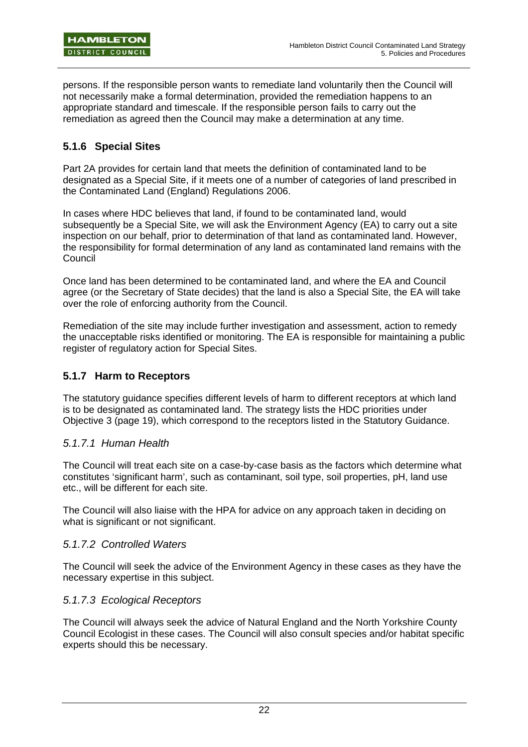persons. If the responsible person wants to remediate land voluntarily then the Council will not necessarily make a formal determination, provided the remediation happens to an appropriate standard and timescale. If the responsible person fails to carry out the remediation as agreed then the Council may make a determination at any time.

### **5.1.6 Special Sites**

Part 2A provides for certain land that meets the definition of contaminated land to be designated as a Special Site, if it meets one of a number of categories of land prescribed in the Contaminated Land (England) Regulations 2006.

In cases where HDC believes that land, if found to be contaminated land, would subsequently be a Special Site, we will ask the Environment Agency (EA) to carry out a site inspection on our behalf, prior to determination of that land as contaminated land. However, the responsibility for formal determination of any land as contaminated land remains with the Council

Once land has been determined to be contaminated land, and where the EA and Council agree (or the Secretary of State decides) that the land is also a Special Site, the EA will take over the role of enforcing authority from the Council.

Remediation of the site may include further investigation and assessment, action to remedy the unacceptable risks identified or monitoring. The EA is responsible for maintaining a public register of regulatory action for Special Sites.

### **5.1.7 Harm to Receptors**

The statutory guidance specifies different levels of harm to different receptors at which land is to be designated as contaminated land. The strategy lists the HDC priorities under Objective 3 (page 19), which correspond to the receptors listed in the Statutory Guidance.

### *5.1.7.1 Human Health*

The Council will treat each site on a case-by-case basis as the factors which determine what constitutes 'significant harm', such as contaminant, soil type, soil properties, pH, land use etc., will be different for each site.

The Council will also liaise with the HPA for advice on any approach taken in deciding on what is significant or not significant.

### *5.1.7.2 Controlled Waters*

The Council will seek the advice of the Environment Agency in these cases as they have the necessary expertise in this subject.

### *5.1.7.3 Ecological Receptors*

The Council will always seek the advice of Natural England and the North Yorkshire County Council Ecologist in these cases. The Council will also consult species and/or habitat specific experts should this be necessary.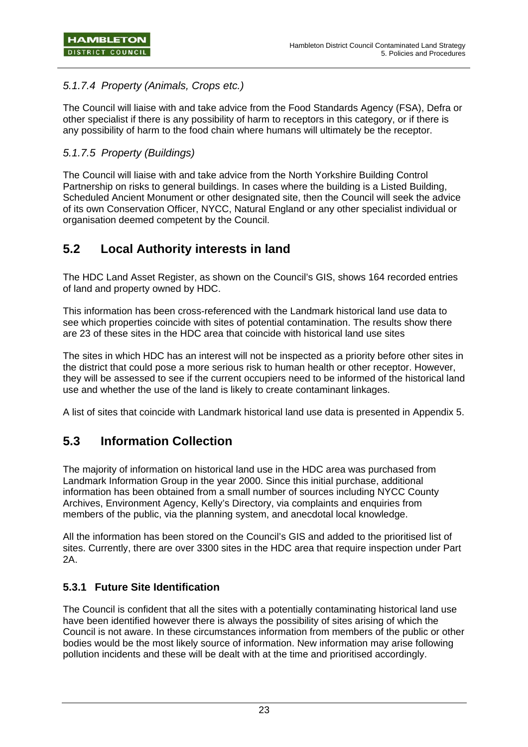### *5.1.7.4 Property (Animals, Crops etc.)*

The Council will liaise with and take advice from the Food Standards Agency (FSA), Defra or other specialist if there is any possibility of harm to receptors in this category, or if there is any possibility of harm to the food chain where humans will ultimately be the receptor.

### *5.1.7.5 Property (Buildings)*

The Council will liaise with and take advice from the North Yorkshire Building Control Partnership on risks to general buildings. In cases where the building is a Listed Building, Scheduled Ancient Monument or other designated site, then the Council will seek the advice of its own Conservation Officer, NYCC, Natural England or any other specialist individual or organisation deemed competent by the Council.

## **5.2 Local Authority interests in land**

The HDC Land Asset Register, as shown on the Council's GIS, shows 164 recorded entries of land and property owned by HDC.

This information has been cross-referenced with the Landmark historical land use data to see which properties coincide with sites of potential contamination. The results show there are 23 of these sites in the HDC area that coincide with historical land use sites

The sites in which HDC has an interest will not be inspected as a priority before other sites in the district that could pose a more serious risk to human health or other receptor. However, they will be assessed to see if the current occupiers need to be informed of the historical land use and whether the use of the land is likely to create contaminant linkages.

A list of sites that coincide with Landmark historical land use data is presented in Appendix 5.

## **5.3 Information Collection**

The majority of information on historical land use in the HDC area was purchased from Landmark Information Group in the year 2000. Since this initial purchase, additional information has been obtained from a small number of sources including NYCC County Archives, Environment Agency, Kelly's Directory, via complaints and enquiries from members of the public, via the planning system, and anecdotal local knowledge.

All the information has been stored on the Council's GIS and added to the prioritised list of sites. Currently, there are over 3300 sites in the HDC area that require inspection under Part 2A.

### **5.3.1 Future Site Identification**

The Council is confident that all the sites with a potentially contaminating historical land use have been identified however there is always the possibility of sites arising of which the Council is not aware. In these circumstances information from members of the public or other bodies would be the most likely source of information. New information may arise following pollution incidents and these will be dealt with at the time and prioritised accordingly.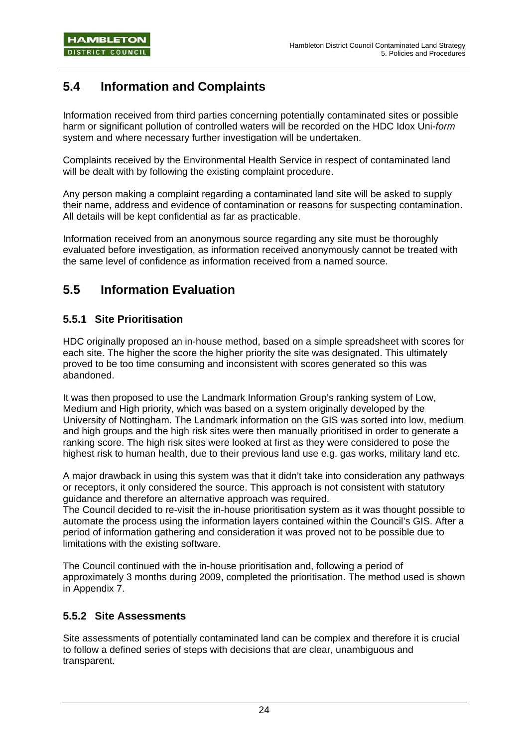# **5.4 Information and Complaints**

Information received from third parties concerning potentially contaminated sites or possible harm or significant pollution of controlled waters will be recorded on the HDC Idox Uni-*form* system and where necessary further investigation will be undertaken.

Complaints received by the Environmental Health Service in respect of contaminated land will be dealt with by following the existing complaint procedure.

Any person making a complaint regarding a contaminated land site will be asked to supply their name, address and evidence of contamination or reasons for suspecting contamination. All details will be kept confidential as far as practicable.

Information received from an anonymous source regarding any site must be thoroughly evaluated before investigation, as information received anonymously cannot be treated with the same level of confidence as information received from a named source.

## **5.5 Information Evaluation**

### **5.5.1 Site Prioritisation**

HDC originally proposed an in-house method, based on a simple spreadsheet with scores for each site. The higher the score the higher priority the site was designated. This ultimately proved to be too time consuming and inconsistent with scores generated so this was abandoned.

It was then proposed to use the Landmark Information Group's ranking system of Low, Medium and High priority, which was based on a system originally developed by the University of Nottingham. The Landmark information on the GIS was sorted into low, medium and high groups and the high risk sites were then manually prioritised in order to generate a ranking score. The high risk sites were looked at first as they were considered to pose the highest risk to human health, due to their previous land use e.g. gas works, military land etc.

A major drawback in using this system was that it didn't take into consideration any pathways or receptors, it only considered the source. This approach is not consistent with statutory guidance and therefore an alternative approach was required.

The Council decided to re-visit the in-house prioritisation system as it was thought possible to automate the process using the information layers contained within the Council's GIS. After a period of information gathering and consideration it was proved not to be possible due to limitations with the existing software.

The Council continued with the in-house prioritisation and, following a period of approximately 3 months during 2009, completed the prioritisation. The method used is shown in Appendix 7.

### **5.5.2 Site Assessments**

Site assessments of potentially contaminated land can be complex and therefore it is crucial to follow a defined series of steps with decisions that are clear, unambiguous and transparent.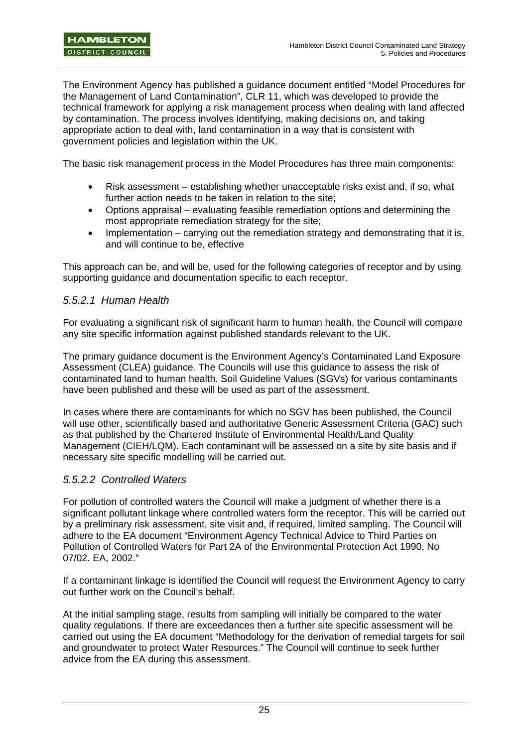The Environment Agency has published a guidance document entitled "Model Procedures for the Management of Land Contamination", CLR 11, which was developed to provide the technical framework for applying a risk management process when dealing with land affected by contamination. The process involves identifying, making decisions on, and taking appropriate action to deal with, land contamination in a way that is consistent with government policies and legislation within the UK.

The basic risk management process in the Model Procedures has three main components:

- Risk assessment establishing whether unacceptable risks exist and, if so, what further action needs to be taken in relation to the site;
- Options appraisal evaluating feasible remediation options and determining the most appropriate remediation strategy for the site;
- Implementation carrying out the remediation strategy and demonstrating that it is, and will continue to be, effective

This approach can be, and will be, used for the following categories of receptor and by using supporting guidance and documentation specific to each receptor.

### *5.5.2.1 Human Health*

For evaluating a significant risk of significant harm to human health, the Council will compare any site specific information against published standards relevant to the UK.

The primary guidance document is the Environment Agency's Contaminated Land Exposure Assessment (CLEA) guidance. The Councils will use this guidance to assess the risk of contaminated land to human health. Soil Guideline Values (SGVs) for various contaminants have been published and these will be used as part of the assessment.

In cases where there are contaminants for which no SGV has been published, the Council will use other, scientifically based and authoritative Generic Assessment Criteria (GAC) such as that published by the Chartered Institute of Environmental Health/Land Quality Management (CIEH/LQM). Each contaminant will be assessed on a site by site basis and if necessary site specific modelling will be carried out.

### *5.5.2.2 Controlled Waters*

For pollution of controlled waters the Council will make a judgment of whether there is a significant pollutant linkage where controlled waters form the receptor. This will be carried out by a preliminary risk assessment, site visit and, if required, limited sampling. The Council will adhere to the EA document "Environment Agency Technical Advice to Third Parties on Pollution of Controlled Waters for Part 2A of the Environmental Protection Act 1990, No 07/02. EA, 2002."

If a contaminant linkage is identified the Council will request the Environment Agency to carry out further work on the Council's behalf.

At the initial sampling stage, results from sampling will initially be compared to the water quality regulations. If there are exceedances then a further site specific assessment will be carried out using the EA document "Methodology for the derivation of remedial targets for soil and groundwater to protect Water Resources." The Council will continue to seek further advice from the EA during this assessment.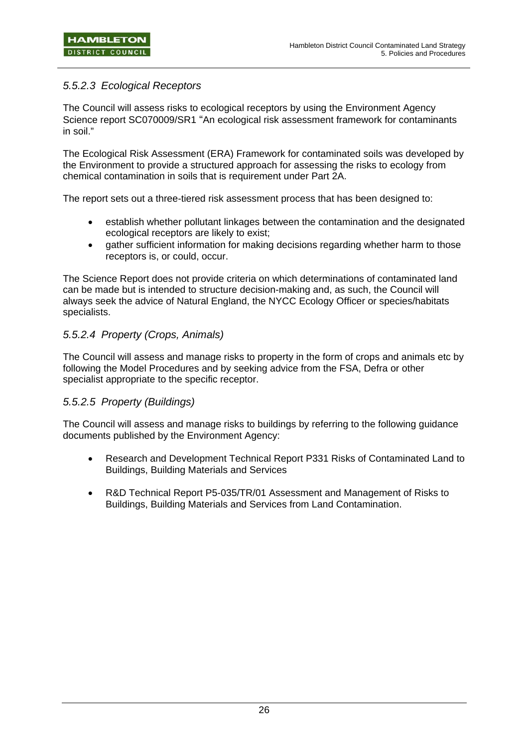### *5.5.2.3 Ecological Receptors*

The Council will assess risks to ecological receptors by using the Environment Agency Science report SC070009/SR1 "An ecological risk assessment framework for contaminants in soil."

The Ecological Risk Assessment (ERA) Framework for contaminated soils was developed by the Environment to provide a structured approach for assessing the risks to ecology from chemical contamination in soils that is requirement under Part 2A.

The report sets out a three-tiered risk assessment process that has been designed to:

- establish whether pollutant linkages between the contamination and the designated ecological receptors are likely to exist;
- gather sufficient information for making decisions regarding whether harm to those receptors is, or could, occur.

The Science Report does not provide criteria on which determinations of contaminated land can be made but is intended to structure decision-making and, as such, the Council will always seek the advice of Natural England, the NYCC Ecology Officer or species/habitats specialists.

### *5.5.2.4 Property (Crops, Animals)*

The Council will assess and manage risks to property in the form of crops and animals etc by following the Model Procedures and by seeking advice from the FSA, Defra or other specialist appropriate to the specific receptor.

### *5.5.2.5 Property (Buildings)*

The Council will assess and manage risks to buildings by referring to the following guidance documents published by the Environment Agency:

- Research and Development Technical Report P331 Risks of Contaminated Land to Buildings, Building Materials and Services
- R&D Technical Report P5-035/TR/01 Assessment and Management of Risks to Buildings, Building Materials and Services from Land Contamination.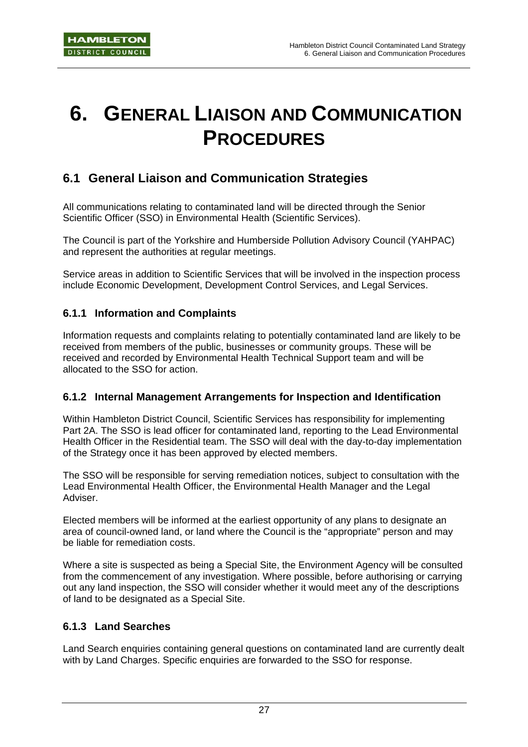# **6. GENERAL LIAISON AND COMMUNICATION PROCEDURES**

## **6.1 General Liaison and Communication Strategies**

All communications relating to contaminated land will be directed through the Senior Scientific Officer (SSO) in Environmental Health (Scientific Services).

The Council is part of the Yorkshire and Humberside Pollution Advisory Council (YAHPAC) and represent the authorities at regular meetings.

Service areas in addition to Scientific Services that will be involved in the inspection process include Economic Development, Development Control Services, and Legal Services.

### **6.1.1 Information and Complaints**

Information requests and complaints relating to potentially contaminated land are likely to be received from members of the public, businesses or community groups. These will be received and recorded by Environmental Health Technical Support team and will be allocated to the SSO for action.

### **6.1.2 Internal Management Arrangements for Inspection and Identification**

Within Hambleton District Council, Scientific Services has responsibility for implementing Part 2A. The SSO is lead officer for contaminated land, reporting to the Lead Environmental Health Officer in the Residential team. The SSO will deal with the day-to-day implementation of the Strategy once it has been approved by elected members.

The SSO will be responsible for serving remediation notices, subject to consultation with the Lead Environmental Health Officer, the Environmental Health Manager and the Legal Adviser.

Elected members will be informed at the earliest opportunity of any plans to designate an area of council-owned land, or land where the Council is the "appropriate" person and may be liable for remediation costs.

Where a site is suspected as being a Special Site, the Environment Agency will be consulted from the commencement of any investigation. Where possible, before authorising or carrying out any land inspection, the SSO will consider whether it would meet any of the descriptions of land to be designated as a Special Site.

### **6.1.3 Land Searches**

Land Search enquiries containing general questions on contaminated land are currently dealt with by Land Charges. Specific enquiries are forwarded to the SSO for response.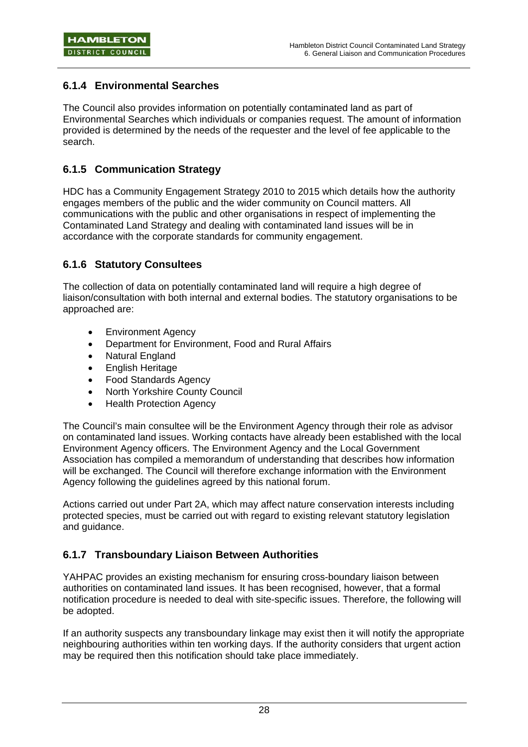### **6.1.4 Environmental Searches**

The Council also provides information on potentially contaminated land as part of Environmental Searches which individuals or companies request. The amount of information provided is determined by the needs of the requester and the level of fee applicable to the search.

### **6.1.5 Communication Strategy**

HDC has a Community Engagement Strategy 2010 to 2015 which details how the authority engages members of the public and the wider community on Council matters. All communications with the public and other organisations in respect of implementing the Contaminated Land Strategy and dealing with contaminated land issues will be in accordance with the corporate standards for community engagement.

### **6.1.6 Statutory Consultees**

The collection of data on potentially contaminated land will require a high degree of liaison/consultation with both internal and external bodies. The statutory organisations to be approached are:

- Environment Agency
- Department for Environment, Food and Rural Affairs
- **Natural England**
- English Heritage
- Food Standards Agency
- North Yorkshire County Council
- Health Protection Agency

The Council's main consultee will be the Environment Agency through their role as advisor on contaminated land issues. Working contacts have already been established with the local Environment Agency officers. The Environment Agency and the Local Government Association has compiled a memorandum of understanding that describes how information will be exchanged. The Council will therefore exchange information with the Environment Agency following the guidelines agreed by this national forum.

Actions carried out under Part 2A, which may affect nature conservation interests including protected species, must be carried out with regard to existing relevant statutory legislation and guidance.

### **6.1.7 Transboundary Liaison Between Authorities**

YAHPAC provides an existing mechanism for ensuring cross-boundary liaison between authorities on contaminated land issues. It has been recognised, however, that a formal notification procedure is needed to deal with site-specific issues. Therefore, the following will be adopted.

If an authority suspects any transboundary linkage may exist then it will notify the appropriate neighbouring authorities within ten working days. If the authority considers that urgent action may be required then this notification should take place immediately.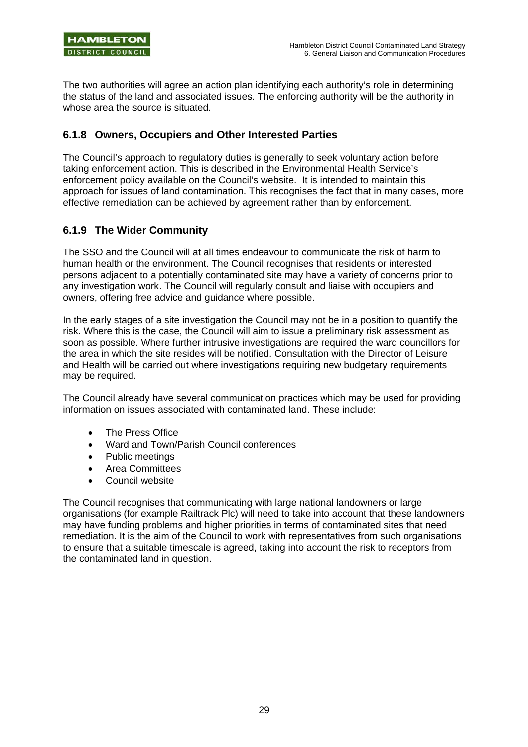The two authorities will agree an action plan identifying each authority's role in determining the status of the land and associated issues. The enforcing authority will be the authority in whose area the source is situated.

### **6.1.8 Owners, Occupiers and Other Interested Parties**

The Council's approach to regulatory duties is generally to seek voluntary action before taking enforcement action. This is described in the Environmental Health Service's enforcement policy available on the Council's website. It is intended to maintain this approach for issues of land contamination. This recognises the fact that in many cases, more effective remediation can be achieved by agreement rather than by enforcement.

### **6.1.9 The Wider Community**

The SSO and the Council will at all times endeavour to communicate the risk of harm to human health or the environment. The Council recognises that residents or interested persons adjacent to a potentially contaminated site may have a variety of concerns prior to any investigation work. The Council will regularly consult and liaise with occupiers and owners, offering free advice and guidance where possible.

In the early stages of a site investigation the Council may not be in a position to quantify the risk. Where this is the case, the Council will aim to issue a preliminary risk assessment as soon as possible. Where further intrusive investigations are required the ward councillors for the area in which the site resides will be notified. Consultation with the Director of Leisure and Health will be carried out where investigations requiring new budgetary requirements may be required.

The Council already have several communication practices which may be used for providing information on issues associated with contaminated land. These include:

- The Press Office
- Ward and Town/Parish Council conferences
- Public meetings
- Area Committees
- Council website

The Council recognises that communicating with large national landowners or large organisations (for example Railtrack Plc) will need to take into account that these landowners may have funding problems and higher priorities in terms of contaminated sites that need remediation. It is the aim of the Council to work with representatives from such organisations to ensure that a suitable timescale is agreed, taking into account the risk to receptors from the contaminated land in question.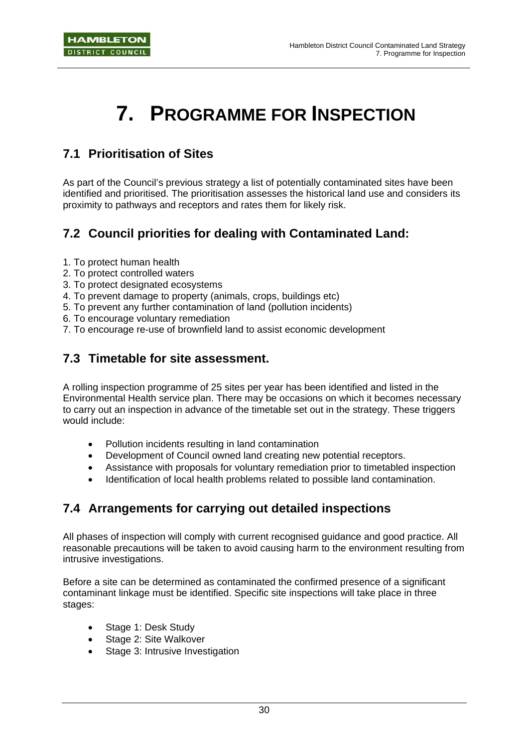# **7. PROGRAMME FOR INSPECTION**

## **7.1 Prioritisation of Sites**

As part of the Council's previous strategy a list of potentially contaminated sites have been identified and prioritised. The prioritisation assesses the historical land use and considers its proximity to pathways and receptors and rates them for likely risk.

# **7.2 Council priorities for dealing with Contaminated Land:**

- 1. To protect human health
- 2. To protect controlled waters
- 3. To protect designated ecosystems
- 4. To prevent damage to property (animals, crops, buildings etc)
- 5. To prevent any further contamination of land (pollution incidents)
- 6. To encourage voluntary remediation
- 7. To encourage re-use of brownfield land to assist economic development

## **7.3 Timetable for site assessment.**

A rolling inspection programme of 25 sites per year has been identified and listed in the Environmental Health service plan. There may be occasions on which it becomes necessary to carry out an inspection in advance of the timetable set out in the strategy. These triggers would include:

- Pollution incidents resulting in land contamination
- Development of Council owned land creating new potential receptors.
- Assistance with proposals for voluntary remediation prior to timetabled inspection
- Identification of local health problems related to possible land contamination.

## **7.4 Arrangements for carrying out detailed inspections**

All phases of inspection will comply with current recognised guidance and good practice. All reasonable precautions will be taken to avoid causing harm to the environment resulting from intrusive investigations.

Before a site can be determined as contaminated the confirmed presence of a significant contaminant linkage must be identified. Specific site inspections will take place in three stages:

- Stage 1: Desk Study
- Stage 2: Site Walkover
- Stage 3: Intrusive Investigation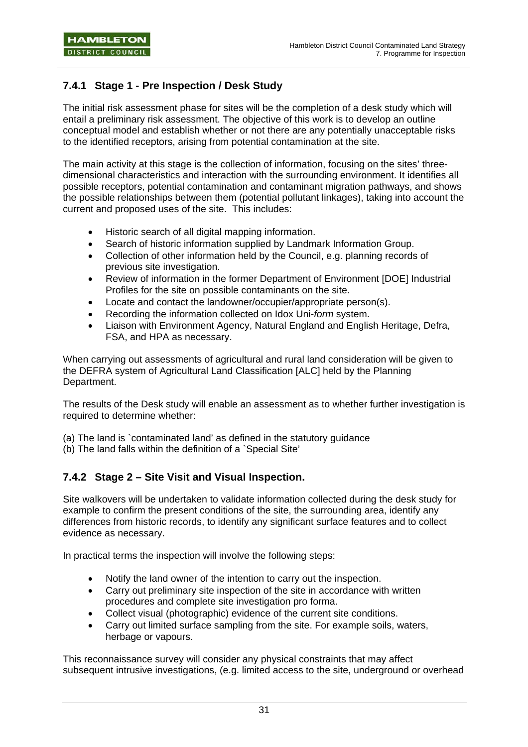## **7.4.1 Stage 1 - Pre Inspection / Desk Study**

The initial risk assessment phase for sites will be the completion of a desk study which will entail a preliminary risk assessment. The objective of this work is to develop an outline conceptual model and establish whether or not there are any potentially unacceptable risks to the identified receptors, arising from potential contamination at the site.

The main activity at this stage is the collection of information, focusing on the sites' threedimensional characteristics and interaction with the surrounding environment. It identifies all possible receptors, potential contamination and contaminant migration pathways, and shows the possible relationships between them (potential pollutant linkages), taking into account the current and proposed uses of the site. This includes:

- Historic search of all digital mapping information.
- Search of historic information supplied by Landmark Information Group.
- Collection of other information held by the Council, e.g. planning records of previous site investigation.
- Review of information in the former Department of Environment [DOE] Industrial Profiles for the site on possible contaminants on the site.
- Locate and contact the landowner/occupier/appropriate person(s).
- Recording the information collected on Idox Uni-*form* system.
- Liaison with Environment Agency, Natural England and English Heritage, Defra, FSA, and HPA as necessary.

When carrying out assessments of agricultural and rural land consideration will be given to the DEFRA system of Agricultural Land Classification [ALC] held by the Planning Department.

The results of the Desk study will enable an assessment as to whether further investigation is required to determine whether:

(a) The land is `contaminated land' as defined in the statutory guidance

(b) The land falls within the definition of a `Special Site'

### **7.4.2 Stage 2 – Site Visit and Visual Inspection.**

Site walkovers will be undertaken to validate information collected during the desk study for example to confirm the present conditions of the site, the surrounding area, identify any differences from historic records, to identify any significant surface features and to collect evidence as necessary.

In practical terms the inspection will involve the following steps:

- Notify the land owner of the intention to carry out the inspection.
- Carry out preliminary site inspection of the site in accordance with written procedures and complete site investigation pro forma.
- Collect visual (photographic) evidence of the current site conditions.
- Carry out limited surface sampling from the site. For example soils, waters, herbage or vapours.

This reconnaissance survey will consider any physical constraints that may affect subsequent intrusive investigations, (e.g. limited access to the site, underground or overhead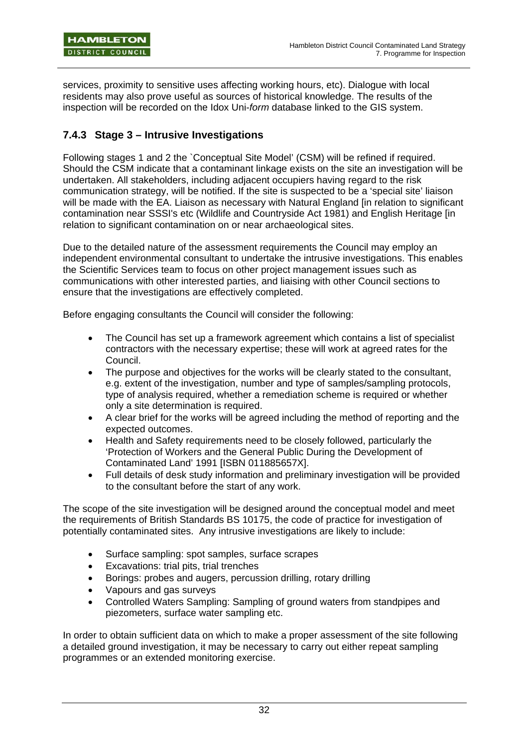services, proximity to sensitive uses affecting working hours, etc). Dialogue with local residents may also prove useful as sources of historical knowledge. The results of the inspection will be recorded on the Idox Uni-*form* database linked to the GIS system.

### **7.4.3 Stage 3 – Intrusive Investigations**

Following stages 1 and 2 the `Conceptual Site Model' (CSM) will be refined if required. Should the CSM indicate that a contaminant linkage exists on the site an investigation will be undertaken. All stakeholders, including adjacent occupiers having regard to the risk communication strategy, will be notified. If the site is suspected to be a 'special site' liaison will be made with the EA. Liaison as necessary with Natural England [in relation to significant contamination near SSSI's etc (Wildlife and Countryside Act 1981) and English Heritage [in relation to significant contamination on or near archaeological sites.

Due to the detailed nature of the assessment requirements the Council may employ an independent environmental consultant to undertake the intrusive investigations. This enables the Scientific Services team to focus on other project management issues such as communications with other interested parties, and liaising with other Council sections to ensure that the investigations are effectively completed.

Before engaging consultants the Council will consider the following:

- The Council has set up a framework agreement which contains a list of specialist contractors with the necessary expertise; these will work at agreed rates for the Council.
- The purpose and objectives for the works will be clearly stated to the consultant, e.g. extent of the investigation, number and type of samples/sampling protocols, type of analysis required, whether a remediation scheme is required or whether only a site determination is required.
- A clear brief for the works will be agreed including the method of reporting and the expected outcomes.
- Health and Safety requirements need to be closely followed, particularly the 'Protection of Workers and the General Public During the Development of Contaminated Land' 1991 [ISBN 011885657X].
- Full details of desk study information and preliminary investigation will be provided to the consultant before the start of any work.

The scope of the site investigation will be designed around the conceptual model and meet the requirements of British Standards BS 10175, the code of practice for investigation of potentially contaminated sites. Any intrusive investigations are likely to include:

- Surface sampling: spot samples, surface scrapes
- Excavations: trial pits, trial trenches
- Borings: probes and augers, percussion drilling, rotary drilling
- Vapours and gas surveys
- Controlled Waters Sampling: Sampling of ground waters from standpipes and piezometers, surface water sampling etc.

In order to obtain sufficient data on which to make a proper assessment of the site following a detailed ground investigation, it may be necessary to carry out either repeat sampling programmes or an extended monitoring exercise.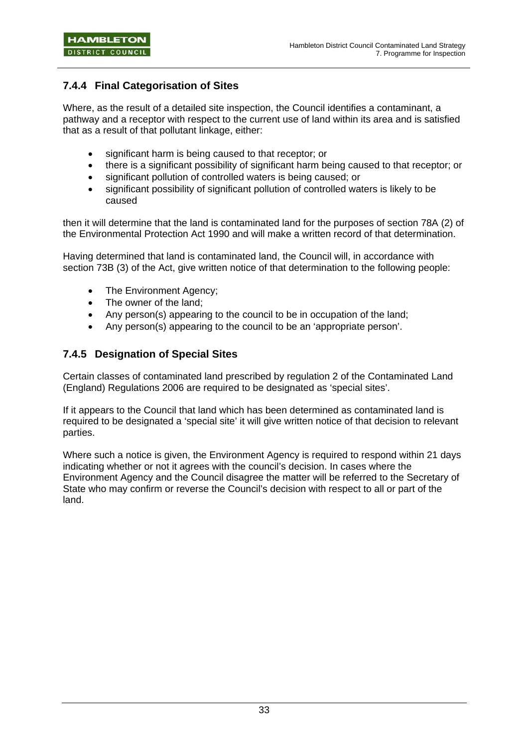## **7.4.4 Final Categorisation of Sites**

Where, as the result of a detailed site inspection, the Council identifies a contaminant, a pathway and a receptor with respect to the current use of land within its area and is satisfied that as a result of that pollutant linkage, either:

- significant harm is being caused to that receptor; or
- there is a significant possibility of significant harm being caused to that receptor; or
- significant pollution of controlled waters is being caused; or
- significant possibility of significant pollution of controlled waters is likely to be caused

then it will determine that the land is contaminated land for the purposes of section 78A (2) of the Environmental Protection Act 1990 and will make a written record of that determination.

Having determined that land is contaminated land, the Council will, in accordance with section 73B (3) of the Act, give written notice of that determination to the following people:

- The Environment Agency:
- The owner of the land:
- Any person(s) appearing to the council to be in occupation of the land;
- Any person(s) appearing to the council to be an 'appropriate person'.

### **7.4.5 Designation of Special Sites**

Certain classes of contaminated land prescribed by regulation 2 of the Contaminated Land (England) Regulations 2006 are required to be designated as 'special sites'.

If it appears to the Council that land which has been determined as contaminated land is required to be designated a 'special site' it will give written notice of that decision to relevant parties.

Where such a notice is given, the Environment Agency is required to respond within 21 days indicating whether or not it agrees with the council's decision. In cases where the Environment Agency and the Council disagree the matter will be referred to the Secretary of State who may confirm or reverse the Council's decision with respect to all or part of the land.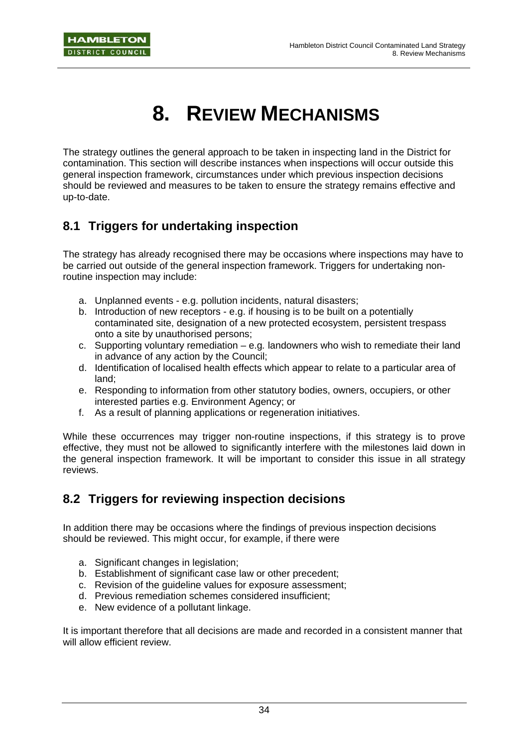# **8. REVIEW MECHANISMS**

The strategy outlines the general approach to be taken in inspecting land in the District for contamination. This section will describe instances when inspections will occur outside this general inspection framework, circumstances under which previous inspection decisions should be reviewed and measures to be taken to ensure the strategy remains effective and up-to-date.

# **8.1 Triggers for undertaking inspection**

The strategy has already recognised there may be occasions where inspections may have to be carried out outside of the general inspection framework. Triggers for undertaking nonroutine inspection may include:

- a. Unplanned events e.g. pollution incidents, natural disasters;
- b. Introduction of new receptors e.g. if housing is to be built on a potentially contaminated site, designation of a new protected ecosystem, persistent trespass onto a site by unauthorised persons;
- c. Supporting voluntary remediation e.g*.* landowners who wish to remediate their land in advance of any action by the Council;
- d. Identification of localised health effects which appear to relate to a particular area of land;
- e. Responding to information from other statutory bodies, owners, occupiers, or other interested parties e.g. Environment Agency; or
- f. As a result of planning applications or regeneration initiatives.

While these occurrences may trigger non-routine inspections, if this strategy is to prove effective, they must not be allowed to significantly interfere with the milestones laid down in the general inspection framework. It will be important to consider this issue in all strategy reviews.

## **8.2 Triggers for reviewing inspection decisions**

In addition there may be occasions where the findings of previous inspection decisions should be reviewed. This might occur, for example, if there were

- a. Significant changes in legislation;
- b. Establishment of significant case law or other precedent;
- c. Revision of the guideline values for exposure assessment;
- d. Previous remediation schemes considered insufficient;
- e. New evidence of a pollutant linkage.

It is important therefore that all decisions are made and recorded in a consistent manner that will allow efficient review.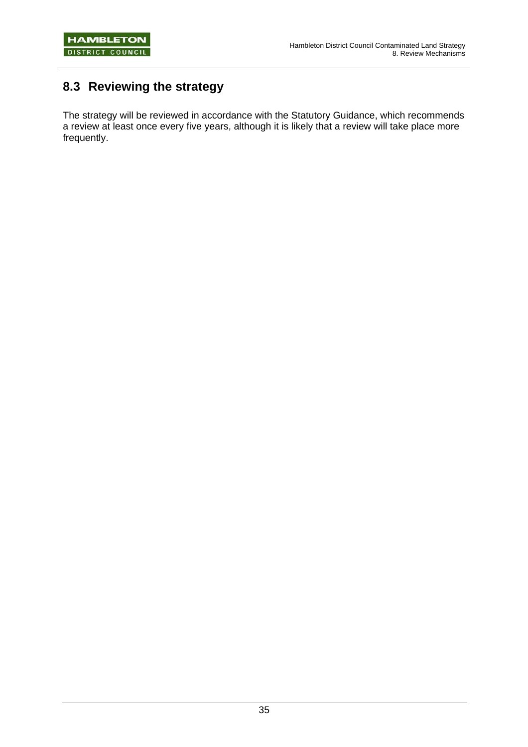# **8.3 Reviewing the strategy**

The strategy will be reviewed in accordance with the Statutory Guidance, which recommends a review at least once every five years, although it is likely that a review will take place more frequently.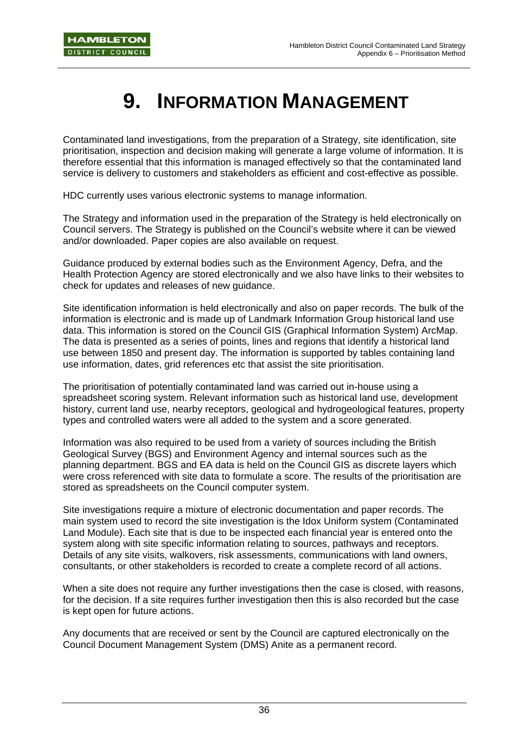# **9. INFORMATION MANAGEMENT**

Contaminated land investigations, from the preparation of a Strategy, site identification, site prioritisation, inspection and decision making will generate a large volume of information. It is therefore essential that this information is managed effectively so that the contaminated land service is delivery to customers and stakeholders as efficient and cost-effective as possible.

HDC currently uses various electronic systems to manage information.

The Strategy and information used in the preparation of the Strategy is held electronically on Council servers. The Strategy is published on the Council's website where it can be viewed and/or downloaded. Paper copies are also available on request.

Guidance produced by external bodies such as the Environment Agency, Defra, and the Health Protection Agency are stored electronically and we also have links to their websites to check for updates and releases of new guidance.

Site identification information is held electronically and also on paper records. The bulk of the information is electronic and is made up of Landmark Information Group historical land use data. This information is stored on the Council GIS (Graphical Information System) ArcMap. The data is presented as a series of points, lines and regions that identify a historical land use between 1850 and present day. The information is supported by tables containing land use information, dates, grid references etc that assist the site prioritisation.

The prioritisation of potentially contaminated land was carried out in-house using a spreadsheet scoring system. Relevant information such as historical land use, development history, current land use, nearby receptors, geological and hydrogeological features, property types and controlled waters were all added to the system and a score generated.

Information was also required to be used from a variety of sources including the British Geological Survey (BGS) and Environment Agency and internal sources such as the planning department. BGS and EA data is held on the Council GIS as discrete layers which were cross referenced with site data to formulate a score. The results of the prioritisation are stored as spreadsheets on the Council computer system.

Site investigations require a mixture of electronic documentation and paper records. The main system used to record the site investigation is the Idox Uniform system (Contaminated Land Module). Each site that is due to be inspected each financial year is entered onto the system along with site specific information relating to sources, pathways and receptors. Details of any site visits, walkovers, risk assessments, communications with land owners, consultants, or other stakeholders is recorded to create a complete record of all actions.

When a site does not require any further investigations then the case is closed, with reasons, for the decision. If a site requires further investigation then this is also recorded but the case is kept open for future actions.

Any documents that are received or sent by the Council are captured electronically on the Council Document Management System (DMS) Anite as a permanent record.